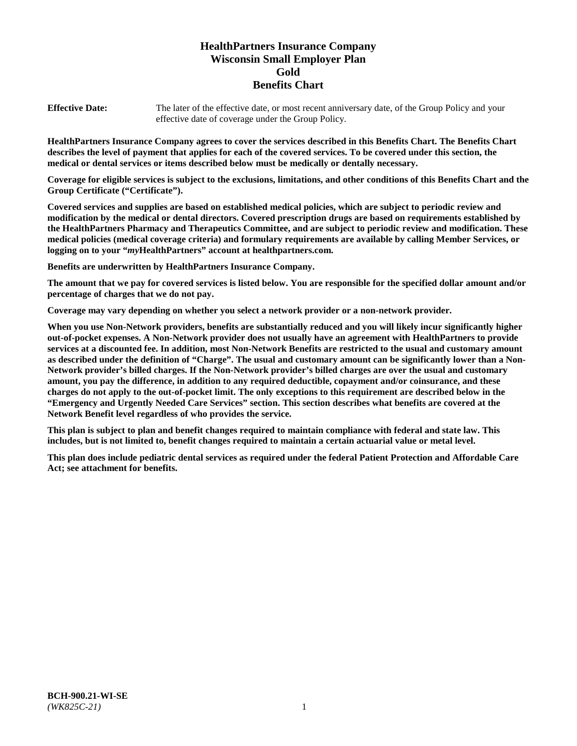# **HealthPartners Insurance Company Wisconsin Small Employer Plan Gold Benefits Chart**

**Effective Date:** The later of the effective date, or most recent anniversary date, of the Group Policy and your effective date of coverage under the Group Policy.

**HealthPartners Insurance Company agrees to cover the services described in this Benefits Chart. The Benefits Chart describes the level of payment that applies for each of the covered services. To be covered under this section, the medical or dental services or items described below must be medically or dentally necessary.**

**Coverage for eligible services is subject to the exclusions, limitations, and other conditions of this Benefits Chart and the Group Certificate ("Certificate").**

**Covered services and supplies are based on established medical policies, which are subject to periodic review and modification by the medical or dental directors. Covered prescription drugs are based on requirements established by the HealthPartners Pharmacy and Therapeutics Committee, and are subject to periodic review and modification. These medical policies (medical coverage criteria) and formulary requirements are available by calling Member Services, or logging on to your "***my***HealthPartners" account at [healthpartners.com.](https://www.healthpartners.com/hp/index.html)**

**Benefits are underwritten by HealthPartners Insurance Company.**

**The amount that we pay for covered services is listed below. You are responsible for the specified dollar amount and/or percentage of charges that we do not pay.**

**Coverage may vary depending on whether you select a network provider or a non-network provider.**

**When you use Non-Network providers, benefits are substantially reduced and you will likely incur significantly higher out-of-pocket expenses. A Non-Network provider does not usually have an agreement with HealthPartners to provide services at a discounted fee. In addition, most Non-Network Benefits are restricted to the usual and customary amount as described under the definition of "Charge". The usual and customary amount can be significantly lower than a Non-Network provider's billed charges. If the Non-Network provider's billed charges are over the usual and customary amount, you pay the difference, in addition to any required deductible, copayment and/or coinsurance, and these charges do not apply to the out-of-pocket limit. The only exceptions to this requirement are described below in the "Emergency and Urgently Needed Care Services" section. This section describes what benefits are covered at the Network Benefit level regardless of who provides the service.**

**This plan is subject to plan and benefit changes required to maintain compliance with federal and state law. This includes, but is not limited to, benefit changes required to maintain a certain actuarial value or metal level.**

**This plan does include pediatric dental services as required under the federal Patient Protection and Affordable Care Act; see attachment for benefits.**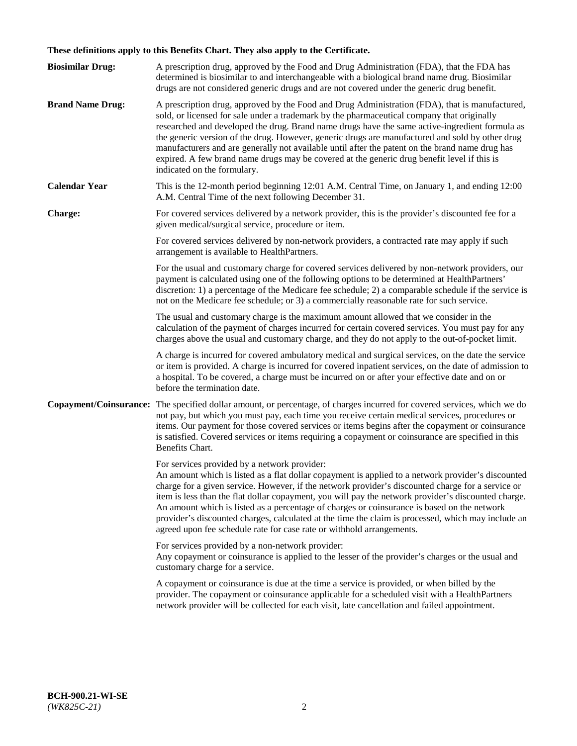# **These definitions apply to this Benefits Chart. They also apply to the Certificate.**

| <b>Biosimilar Drug:</b> | A prescription drug, approved by the Food and Drug Administration (FDA), that the FDA has<br>determined is biosimilar to and interchangeable with a biological brand name drug. Biosimilar<br>drugs are not considered generic drugs and are not covered under the generic drug benefit.                                                                                                                                                                                                                                                                                                                                                     |
|-------------------------|----------------------------------------------------------------------------------------------------------------------------------------------------------------------------------------------------------------------------------------------------------------------------------------------------------------------------------------------------------------------------------------------------------------------------------------------------------------------------------------------------------------------------------------------------------------------------------------------------------------------------------------------|
| <b>Brand Name Drug:</b> | A prescription drug, approved by the Food and Drug Administration (FDA), that is manufactured,<br>sold, or licensed for sale under a trademark by the pharmaceutical company that originally<br>researched and developed the drug. Brand name drugs have the same active-ingredient formula as<br>the generic version of the drug. However, generic drugs are manufactured and sold by other drug<br>manufacturers and are generally not available until after the patent on the brand name drug has<br>expired. A few brand name drugs may be covered at the generic drug benefit level if this is<br>indicated on the formulary.           |
| <b>Calendar Year</b>    | This is the 12-month period beginning 12:01 A.M. Central Time, on January 1, and ending 12:00<br>A.M. Central Time of the next following December 31.                                                                                                                                                                                                                                                                                                                                                                                                                                                                                        |
| <b>Charge:</b>          | For covered services delivered by a network provider, this is the provider's discounted fee for a<br>given medical/surgical service, procedure or item.                                                                                                                                                                                                                                                                                                                                                                                                                                                                                      |
|                         | For covered services delivered by non-network providers, a contracted rate may apply if such<br>arrangement is available to HealthPartners.                                                                                                                                                                                                                                                                                                                                                                                                                                                                                                  |
|                         | For the usual and customary charge for covered services delivered by non-network providers, our<br>payment is calculated using one of the following options to be determined at HealthPartners'<br>discretion: 1) a percentage of the Medicare fee schedule; 2) a comparable schedule if the service is<br>not on the Medicare fee schedule; or 3) a commercially reasonable rate for such service.                                                                                                                                                                                                                                          |
|                         | The usual and customary charge is the maximum amount allowed that we consider in the<br>calculation of the payment of charges incurred for certain covered services. You must pay for any<br>charges above the usual and customary charge, and they do not apply to the out-of-pocket limit.                                                                                                                                                                                                                                                                                                                                                 |
|                         | A charge is incurred for covered ambulatory medical and surgical services, on the date the service<br>or item is provided. A charge is incurred for covered inpatient services, on the date of admission to<br>a hospital. To be covered, a charge must be incurred on or after your effective date and on or<br>before the termination date.                                                                                                                                                                                                                                                                                                |
| Copayment/Coinsurance:  | The specified dollar amount, or percentage, of charges incurred for covered services, which we do<br>not pay, but which you must pay, each time you receive certain medical services, procedures or<br>items. Our payment for those covered services or items begins after the copayment or coinsurance<br>is satisfied. Covered services or items requiring a copayment or coinsurance are specified in this<br>Benefits Chart.                                                                                                                                                                                                             |
|                         | For services provided by a network provider:<br>An amount which is listed as a flat dollar copayment is applied to a network provider's discounted<br>charge for a given service. However, if the network provider's discounted charge for a service or<br>item is less than the flat dollar copayment, you will pay the network provider's discounted charge.<br>An amount which is listed as a percentage of charges or coinsurance is based on the network<br>provider's discounted charges, calculated at the time the claim is processed, which may include an<br>agreed upon fee schedule rate for case rate or withhold arrangements. |
|                         | For services provided by a non-network provider:<br>Any copayment or coinsurance is applied to the lesser of the provider's charges or the usual and<br>customary charge for a service.                                                                                                                                                                                                                                                                                                                                                                                                                                                      |
|                         | A copayment or coinsurance is due at the time a service is provided, or when billed by the<br>provider. The copayment or coinsurance applicable for a scheduled visit with a HealthPartners<br>network provider will be collected for each visit, late cancellation and failed appointment.                                                                                                                                                                                                                                                                                                                                                  |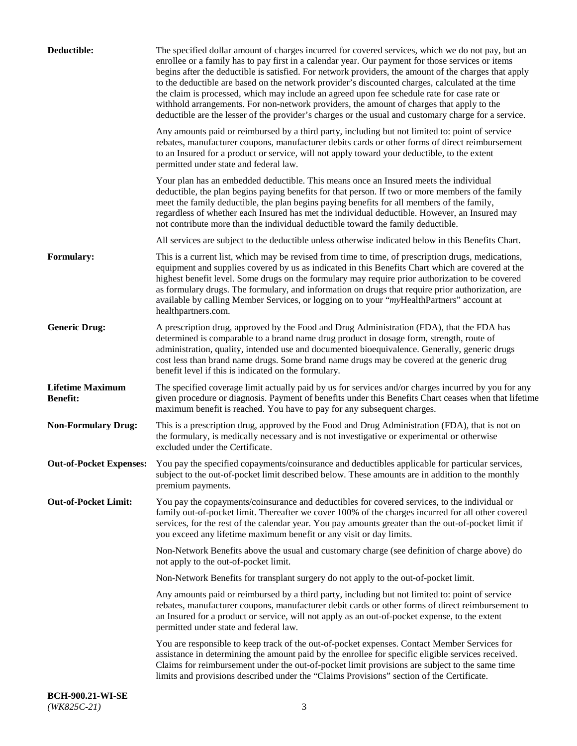| Deductible:                                | The specified dollar amount of charges incurred for covered services, which we do not pay, but an<br>enrollee or a family has to pay first in a calendar year. Our payment for those services or items<br>begins after the deductible is satisfied. For network providers, the amount of the charges that apply<br>to the deductible are based on the network provider's discounted charges, calculated at the time<br>the claim is processed, which may include an agreed upon fee schedule rate for case rate or<br>withhold arrangements. For non-network providers, the amount of charges that apply to the<br>deductible are the lesser of the provider's charges or the usual and customary charge for a service. |
|--------------------------------------------|-------------------------------------------------------------------------------------------------------------------------------------------------------------------------------------------------------------------------------------------------------------------------------------------------------------------------------------------------------------------------------------------------------------------------------------------------------------------------------------------------------------------------------------------------------------------------------------------------------------------------------------------------------------------------------------------------------------------------|
|                                            | Any amounts paid or reimbursed by a third party, including but not limited to: point of service<br>rebates, manufacturer coupons, manufacturer debits cards or other forms of direct reimbursement<br>to an Insured for a product or service, will not apply toward your deductible, to the extent<br>permitted under state and federal law.                                                                                                                                                                                                                                                                                                                                                                            |
|                                            | Your plan has an embedded deductible. This means once an Insured meets the individual<br>deductible, the plan begins paying benefits for that person. If two or more members of the family<br>meet the family deductible, the plan begins paying benefits for all members of the family,<br>regardless of whether each Insured has met the individual deductible. However, an Insured may<br>not contribute more than the individual deductible toward the family deductible.                                                                                                                                                                                                                                           |
|                                            | All services are subject to the deductible unless otherwise indicated below in this Benefits Chart.                                                                                                                                                                                                                                                                                                                                                                                                                                                                                                                                                                                                                     |
| Formulary:                                 | This is a current list, which may be revised from time to time, of prescription drugs, medications,<br>equipment and supplies covered by us as indicated in this Benefits Chart which are covered at the<br>highest benefit level. Some drugs on the formulary may require prior authorization to be covered<br>as formulary drugs. The formulary, and information on drugs that require prior authorization, are<br>available by calling Member Services, or logging on to your "myHealthPartners" account at<br>healthpartners.com.                                                                                                                                                                                   |
| <b>Generic Drug:</b>                       | A prescription drug, approved by the Food and Drug Administration (FDA), that the FDA has<br>determined is comparable to a brand name drug product in dosage form, strength, route of<br>administration, quality, intended use and documented bioequivalence. Generally, generic drugs<br>cost less than brand name drugs. Some brand name drugs may be covered at the generic drug<br>benefit level if this is indicated on the formulary.                                                                                                                                                                                                                                                                             |
| <b>Lifetime Maximum</b><br><b>Benefit:</b> | The specified coverage limit actually paid by us for services and/or charges incurred by you for any<br>given procedure or diagnosis. Payment of benefits under this Benefits Chart ceases when that lifetime<br>maximum benefit is reached. You have to pay for any subsequent charges.                                                                                                                                                                                                                                                                                                                                                                                                                                |
| <b>Non-Formulary Drug:</b>                 | This is a prescription drug, approved by the Food and Drug Administration (FDA), that is not on<br>the formulary, is medically necessary and is not investigative or experimental or otherwise<br>excluded under the Certificate.                                                                                                                                                                                                                                                                                                                                                                                                                                                                                       |
|                                            | Out-of-Pocket Expenses: You pay the specified copayments/coinsurance and deductibles applicable for particular services,<br>subject to the out-of-pocket limit described below. These amounts are in addition to the monthly<br>premium payments.                                                                                                                                                                                                                                                                                                                                                                                                                                                                       |
| <b>Out-of-Pocket Limit:</b>                | You pay the copayments/coinsurance and deductibles for covered services, to the individual or<br>family out-of-pocket limit. Thereafter we cover 100% of the charges incurred for all other covered<br>services, for the rest of the calendar year. You pay amounts greater than the out-of-pocket limit if<br>you exceed any lifetime maximum benefit or any visit or day limits.                                                                                                                                                                                                                                                                                                                                      |
|                                            | Non-Network Benefits above the usual and customary charge (see definition of charge above) do<br>not apply to the out-of-pocket limit.                                                                                                                                                                                                                                                                                                                                                                                                                                                                                                                                                                                  |
|                                            | Non-Network Benefits for transplant surgery do not apply to the out-of-pocket limit.                                                                                                                                                                                                                                                                                                                                                                                                                                                                                                                                                                                                                                    |
|                                            | Any amounts paid or reimbursed by a third party, including but not limited to: point of service<br>rebates, manufacturer coupons, manufacturer debit cards or other forms of direct reimbursement to<br>an Insured for a product or service, will not apply as an out-of-pocket expense, to the extent<br>permitted under state and federal law.                                                                                                                                                                                                                                                                                                                                                                        |
|                                            | You are responsible to keep track of the out-of-pocket expenses. Contact Member Services for<br>assistance in determining the amount paid by the enrollee for specific eligible services received.<br>Claims for reimbursement under the out-of-pocket limit provisions are subject to the same time<br>limits and provisions described under the "Claims Provisions" section of the Certificate.                                                                                                                                                                                                                                                                                                                       |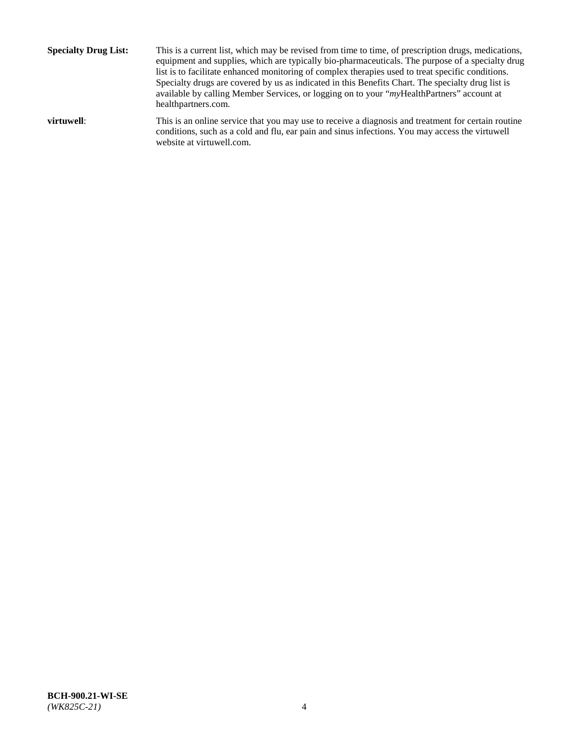**Specialty Drug List:** This is a current list, which may be revised from time to time, of prescription drugs, medications, equipment and supplies, which are typically bio-pharmaceuticals. The purpose of a specialty drug list is to facilitate enhanced monitoring of complex therapies used to treat specific conditions. Specialty drugs are covered by us as indicated in this Benefits Chart. The specialty drug list is available by calling Member Services, or logging on to your "*my*HealthPartners" account at [healthpartners.com.](http://www.healthpartners.com/) **virtuwell:** This is an online service that you may use to receive a diagnosis and treatment for certain routine conditions, such as a cold and flu, ear pain and sinus infections. You may access the virtuwell

website at [virtuwell.com.](http://www.virtuwell.com/)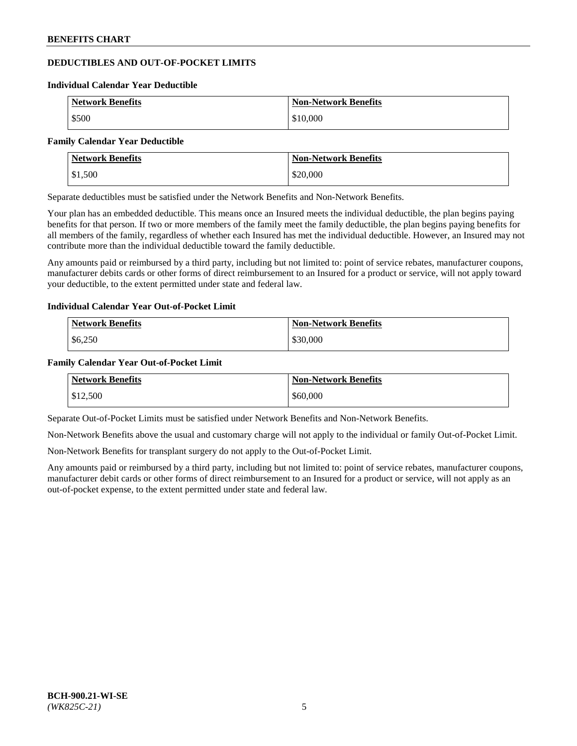## **DEDUCTIBLES AND OUT-OF-POCKET LIMITS**

#### **Individual Calendar Year Deductible**

| <b>Network Benefits</b> | <b>Non-Network Benefits</b> |
|-------------------------|-----------------------------|
| \$500                   | \$10,000                    |

#### **Family Calendar Year Deductible**

| Network Benefits | <b>Non-Network Benefits</b> |
|------------------|-----------------------------|
| \$1,500          | \$20,000                    |

Separate deductibles must be satisfied under the Network Benefits and Non-Network Benefits.

Your plan has an embedded deductible. This means once an Insured meets the individual deductible, the plan begins paying benefits for that person. If two or more members of the family meet the family deductible, the plan begins paying benefits for all members of the family, regardless of whether each Insured has met the individual deductible. However, an Insured may not contribute more than the individual deductible toward the family deductible.

Any amounts paid or reimbursed by a third party, including but not limited to: point of service rebates, manufacturer coupons, manufacturer debits cards or other forms of direct reimbursement to an Insured for a product or service, will not apply toward your deductible, to the extent permitted under state and federal law.

## **Individual Calendar Year Out-of-Pocket Limit**

| <b>Network Benefits</b> | <b>Non-Network Benefits</b> |
|-------------------------|-----------------------------|
| \$6,250                 | \$30,000                    |

## **Family Calendar Year Out-of-Pocket Limit**

| <b>Network Benefits</b> | Non-Network Benefits |
|-------------------------|----------------------|
| \$12,500                | \$60,000             |

Separate Out-of-Pocket Limits must be satisfied under Network Benefits and Non-Network Benefits.

Non-Network Benefits above the usual and customary charge will not apply to the individual or family Out-of-Pocket Limit.

Non-Network Benefits for transplant surgery do not apply to the Out-of-Pocket Limit.

Any amounts paid or reimbursed by a third party, including but not limited to: point of service rebates, manufacturer coupons, manufacturer debit cards or other forms of direct reimbursement to an Insured for a product or service, will not apply as an out-of-pocket expense, to the extent permitted under state and federal law.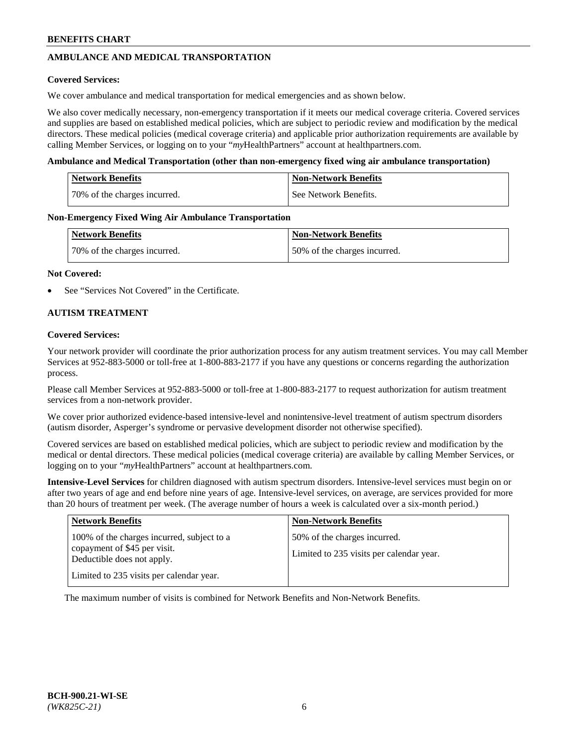# **AMBULANCE AND MEDICAL TRANSPORTATION**

### **Covered Services:**

We cover ambulance and medical transportation for medical emergencies and as shown below.

We also cover medically necessary, non-emergency transportation if it meets our medical coverage criteria. Covered services and supplies are based on established medical policies, which are subject to periodic review and modification by the medical directors. These medical policies (medical coverage criteria) and applicable prior authorization requirements are available by calling Member Services, or logging on to your "*my*HealthPartners" account a[t healthpartners.com.](https://www.healthpartners.com/hp/index.html)

#### **Ambulance and Medical Transportation (other than non-emergency fixed wing air ambulance transportation)**

| <b>Network Benefits</b>      | <b>Non-Network Benefits</b> |
|------------------------------|-----------------------------|
| 70% of the charges incurred. | See Network Benefits.       |

#### **Non-Emergency Fixed Wing Air Ambulance Transportation**

| <b>Network Benefits</b>      | <b>Non-Network Benefits</b>  |
|------------------------------|------------------------------|
| 70% of the charges incurred. | 50% of the charges incurred. |

#### **Not Covered:**

See "Services Not Covered" in the Certificate.

## **AUTISM TREATMENT**

#### **Covered Services:**

Your network provider will coordinate the prior authorization process for any autism treatment services. You may call Member Services at 952-883-5000 or toll-free at 1-800-883-2177 if you have any questions or concerns regarding the authorization process.

Please call Member Services at 952-883-5000 or toll-free at 1-800-883-2177 to request authorization for autism treatment services from a non-network provider.

We cover prior authorized evidence-based intensive-level and nonintensive-level treatment of autism spectrum disorders (autism disorder, Asperger's syndrome or pervasive development disorder not otherwise specified).

Covered services are based on established medical policies, which are subject to periodic review and modification by the medical or dental directors. These medical policies (medical coverage criteria) are available by calling Member Services, or logging on to your "*my*HealthPartners" account at [healthpartners.com.](https://www.healthpartners.com/hp/index.html)

**Intensive-Level Services** for children diagnosed with autism spectrum disorders. Intensive-level services must begin on or after two years of age and end before nine years of age. Intensive-level services, on average, are services provided for more than 20 hours of treatment per week. (The average number of hours a week is calculated over a six-month period.)

| <b>Network Benefits</b>                                                                                                                              | <b>Non-Network Benefits</b>                                              |
|------------------------------------------------------------------------------------------------------------------------------------------------------|--------------------------------------------------------------------------|
| 100% of the charges incurred, subject to a<br>copayment of \$45 per visit.<br>Deductible does not apply.<br>Limited to 235 visits per calendar year. | 50% of the charges incurred.<br>Limited to 235 visits per calendar year. |

The maximum number of visits is combined for Network Benefits and Non-Network Benefits.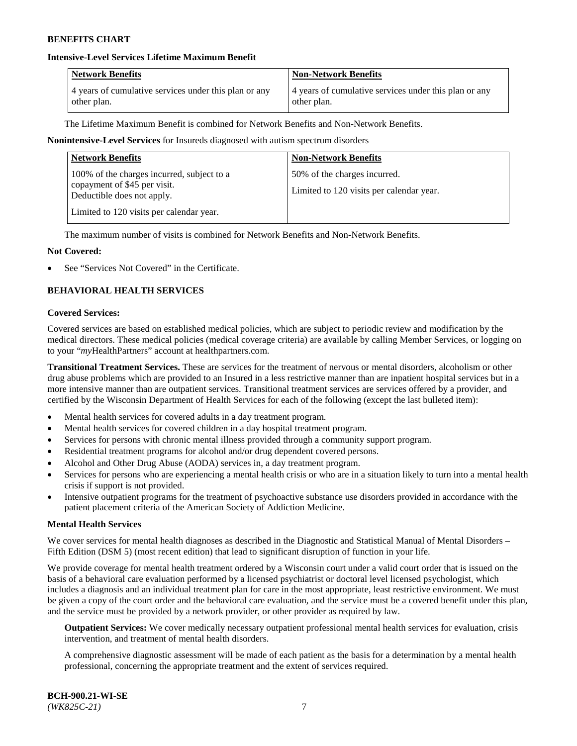## **Intensive-Level Services Lifetime Maximum Benefit**

| <b>Network Benefits</b>                               | <b>Non-Network Benefits</b>                           |
|-------------------------------------------------------|-------------------------------------------------------|
| 4 years of cumulative services under this plan or any | 4 years of cumulative services under this plan or any |
| other plan.                                           | other plan.                                           |

The Lifetime Maximum Benefit is combined for Network Benefits and Non-Network Benefits.

#### **Nonintensive-Level Services** for Insureds diagnosed with autism spectrum disorders

| <b>Network Benefits</b>                                                                                                                              | <b>Non-Network Benefits</b>                                              |
|------------------------------------------------------------------------------------------------------------------------------------------------------|--------------------------------------------------------------------------|
| 100% of the charges incurred, subject to a<br>copayment of \$45 per visit.<br>Deductible does not apply.<br>Limited to 120 visits per calendar year. | 50% of the charges incurred.<br>Limited to 120 visits per calendar year. |

The maximum number of visits is combined for Network Benefits and Non-Network Benefits.

#### **Not Covered:**

See "Services Not Covered" in the Certificate.

## **BEHAVIORAL HEALTH SERVICES**

#### **Covered Services:**

Covered services are based on established medical policies, which are subject to periodic review and modification by the medical directors. These medical policies (medical coverage criteria) are available by calling Member Services, or logging on to your "*my*HealthPartners" account at [healthpartners.com.](https://www.healthpartners.com/hp/index.html)

**Transitional Treatment Services.** These are services for the treatment of nervous or mental disorders, alcoholism or other drug abuse problems which are provided to an Insured in a less restrictive manner than are inpatient hospital services but in a more intensive manner than are outpatient services. Transitional treatment services are services offered by a provider, and certified by the Wisconsin Department of Health Services for each of the following (except the last bulleted item):

- Mental health services for covered adults in a day treatment program.
- Mental health services for covered children in a day hospital treatment program.
- Services for persons with chronic mental illness provided through a community support program.
- Residential treatment programs for alcohol and/or drug dependent covered persons.
- Alcohol and Other Drug Abuse (AODA) services in, a day treatment program.
- Services for persons who are experiencing a mental health crisis or who are in a situation likely to turn into a mental health crisis if support is not provided.
- Intensive outpatient programs for the treatment of psychoactive substance use disorders provided in accordance with the patient placement criteria of the American Society of Addiction Medicine.

#### **Mental Health Services**

We cover services for mental health diagnoses as described in the Diagnostic and Statistical Manual of Mental Disorders – Fifth Edition (DSM 5) (most recent edition) that lead to significant disruption of function in your life.

We provide coverage for mental health treatment ordered by a Wisconsin court under a valid court order that is issued on the basis of a behavioral care evaluation performed by a licensed psychiatrist or doctoral level licensed psychologist, which includes a diagnosis and an individual treatment plan for care in the most appropriate, least restrictive environment. We must be given a copy of the court order and the behavioral care evaluation, and the service must be a covered benefit under this plan, and the service must be provided by a network provider, or other provider as required by law.

**Outpatient Services:** We cover medically necessary outpatient professional mental health services for evaluation, crisis intervention, and treatment of mental health disorders.

A comprehensive diagnostic assessment will be made of each patient as the basis for a determination by a mental health professional, concerning the appropriate treatment and the extent of services required.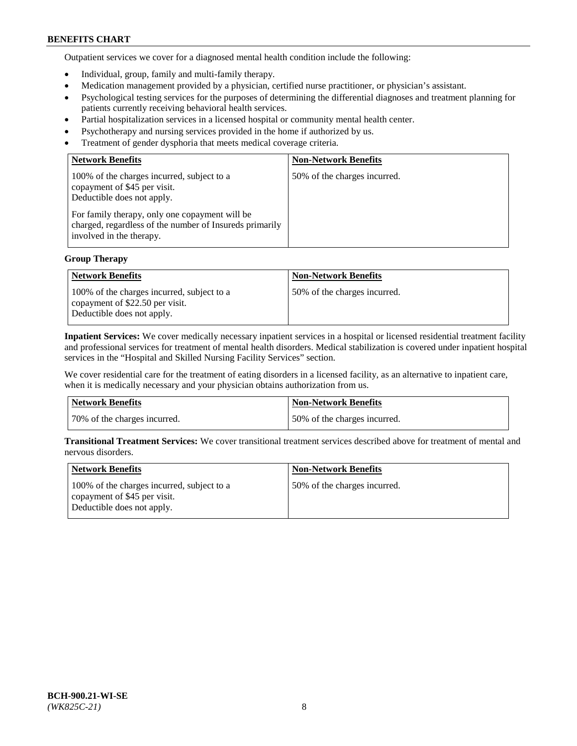Outpatient services we cover for a diagnosed mental health condition include the following:

- Individual, group, family and multi-family therapy.
- Medication management provided by a physician, certified nurse practitioner, or physician's assistant.
- Psychological testing services for the purposes of determining the differential diagnoses and treatment planning for patients currently receiving behavioral health services.
- Partial hospitalization services in a licensed hospital or community mental health center.
- Psychotherapy and nursing services provided in the home if authorized by us.
- Treatment of gender dysphoria that meets medical coverage criteria.

| <b>Network Benefits</b>                                                                                                                                                                                                                           | <b>Non-Network Benefits</b>  |
|---------------------------------------------------------------------------------------------------------------------------------------------------------------------------------------------------------------------------------------------------|------------------------------|
| 100% of the charges incurred, subject to a<br>copayment of \$45 per visit.<br>Deductible does not apply.<br>For family therapy, only one copayment will be<br>charged, regardless of the number of Insureds primarily<br>involved in the therapy. | 50% of the charges incurred. |

## **Group Therapy**

| <b>Network Benefits</b>                                                                                     | <b>Non-Network Benefits</b>  |
|-------------------------------------------------------------------------------------------------------------|------------------------------|
| 100% of the charges incurred, subject to a<br>copayment of \$22.50 per visit.<br>Deductible does not apply. | 50% of the charges incurred. |

**Inpatient Services:** We cover medically necessary inpatient services in a hospital or licensed residential treatment facility and professional services for treatment of mental health disorders. Medical stabilization is covered under inpatient hospital services in the "Hospital and Skilled Nursing Facility Services" section.

We cover residential care for the treatment of eating disorders in a licensed facility, as an alternative to inpatient care, when it is medically necessary and your physician obtains authorization from us.

| Network Benefits             | Non-Network Benefits         |
|------------------------------|------------------------------|
| 70% of the charges incurred. | 50% of the charges incurred. |

**Transitional Treatment Services:** We cover transitional treatment services described above for treatment of mental and nervous disorders.

| <b>Network Benefits</b>                                                                                  | <b>Non-Network Benefits</b>  |
|----------------------------------------------------------------------------------------------------------|------------------------------|
| 100% of the charges incurred, subject to a<br>copayment of \$45 per visit.<br>Deductible does not apply. | 50% of the charges incurred. |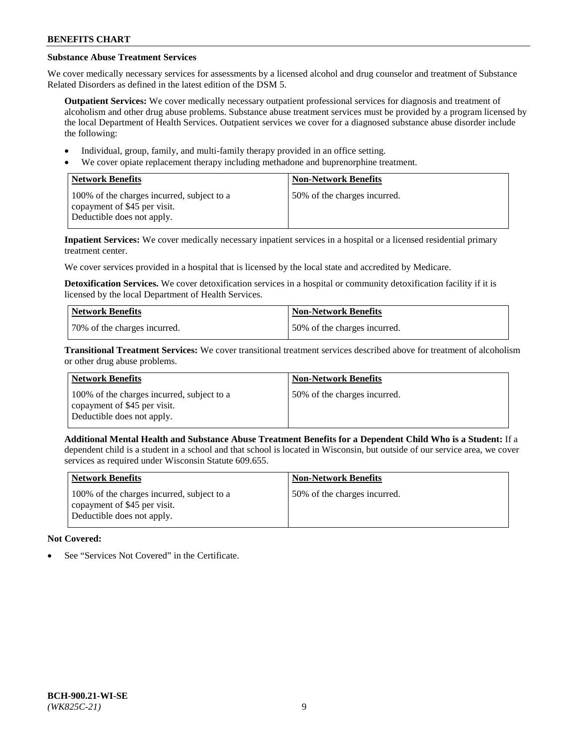# **Substance Abuse Treatment Services**

We cover medically necessary services for assessments by a licensed alcohol and drug counselor and treatment of Substance Related Disorders as defined in the latest edition of the DSM 5.

**Outpatient Services:** We cover medically necessary outpatient professional services for diagnosis and treatment of alcoholism and other drug abuse problems. Substance abuse treatment services must be provided by a program licensed by the local Department of Health Services. Outpatient services we cover for a diagnosed substance abuse disorder include the following:

- Individual, group, family, and multi-family therapy provided in an office setting.
- We cover opiate replacement therapy including methadone and buprenorphine treatment.

| <b>Network Benefits</b>                                                                                  | <b>Non-Network Benefits</b>  |
|----------------------------------------------------------------------------------------------------------|------------------------------|
| 100% of the charges incurred, subject to a<br>copayment of \$45 per visit.<br>Deductible does not apply. | 50% of the charges incurred. |

**Inpatient Services:** We cover medically necessary inpatient services in a hospital or a licensed residential primary treatment center.

We cover services provided in a hospital that is licensed by the local state and accredited by Medicare.

**Detoxification Services.** We cover detoxification services in a hospital or community detoxification facility if it is licensed by the local Department of Health Services.

| Network Benefits             | <b>Non-Network Benefits</b>  |
|------------------------------|------------------------------|
| 70% of the charges incurred. | 50% of the charges incurred. |

**Transitional Treatment Services:** We cover transitional treatment services described above for treatment of alcoholism or other drug abuse problems.

| <b>Network Benefits</b>                                                                                  | <b>Non-Network Benefits</b>  |
|----------------------------------------------------------------------------------------------------------|------------------------------|
| 100% of the charges incurred, subject to a<br>copayment of \$45 per visit.<br>Deductible does not apply. | 50% of the charges incurred. |

**Additional Mental Health and Substance Abuse Treatment Benefits for a Dependent Child Who is a Student:** If a dependent child is a student in a school and that school is located in Wisconsin, but outside of our service area, we cover services as required under Wisconsin Statute 609.655.

| <b>Network Benefits</b>                                                                                  | <b>Non-Network Benefits</b>  |
|----------------------------------------------------------------------------------------------------------|------------------------------|
| 100% of the charges incurred, subject to a<br>copayment of \$45 per visit.<br>Deductible does not apply. | 50% of the charges incurred. |

# **Not Covered:**

See "Services Not Covered" in the Certificate.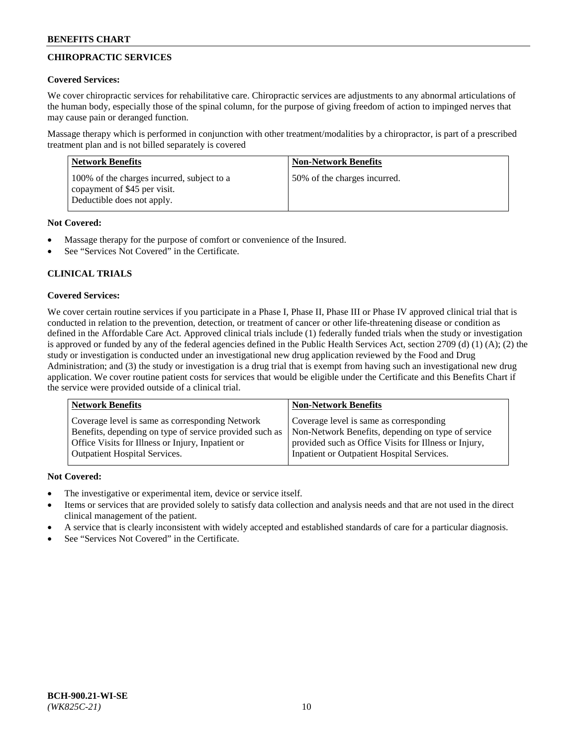# **CHIROPRACTIC SERVICES**

## **Covered Services:**

We cover chiropractic services for rehabilitative care. Chiropractic services are adjustments to any abnormal articulations of the human body, especially those of the spinal column, for the purpose of giving freedom of action to impinged nerves that may cause pain or deranged function.

Massage therapy which is performed in conjunction with other treatment/modalities by a chiropractor, is part of a prescribed treatment plan and is not billed separately is covered

| <b>Network Benefits</b>                                                                                  | <b>Non-Network Benefits</b>  |
|----------------------------------------------------------------------------------------------------------|------------------------------|
| 100% of the charges incurred, subject to a<br>copayment of \$45 per visit.<br>Deductible does not apply. | 50% of the charges incurred. |

## **Not Covered:**

- Massage therapy for the purpose of comfort or convenience of the Insured.
- See "Services Not Covered" in the Certificate.

# **CLINICAL TRIALS**

## **Covered Services:**

We cover certain routine services if you participate in a Phase I, Phase II, Phase III or Phase IV approved clinical trial that is conducted in relation to the prevention, detection, or treatment of cancer or other life-threatening disease or condition as defined in the Affordable Care Act. Approved clinical trials include (1) federally funded trials when the study or investigation is approved or funded by any of the federal agencies defined in the Public Health Services Act, section 2709 (d) (1) (A); (2) the study or investigation is conducted under an investigational new drug application reviewed by the Food and Drug Administration; and (3) the study or investigation is a drug trial that is exempt from having such an investigational new drug application. We cover routine patient costs for services that would be eligible under the Certificate and this Benefits Chart if the service were provided outside of a clinical trial.

| <b>Network Benefits</b>                                 | <b>Non-Network Benefits</b>                           |
|---------------------------------------------------------|-------------------------------------------------------|
| Coverage level is same as corresponding Network         | Coverage level is same as corresponding               |
| Benefits, depending on type of service provided such as | Non-Network Benefits, depending on type of service    |
| Office Visits for Illness or Injury, Inpatient or       | provided such as Office Visits for Illness or Injury, |
| Outpatient Hospital Services.                           | Inpatient or Outpatient Hospital Services.            |

## **Not Covered:**

- The investigative or experimental item, device or service itself.
- Items or services that are provided solely to satisfy data collection and analysis needs and that are not used in the direct clinical management of the patient.
- A service that is clearly inconsistent with widely accepted and established standards of care for a particular diagnosis.
- See "Services Not Covered" in the Certificate.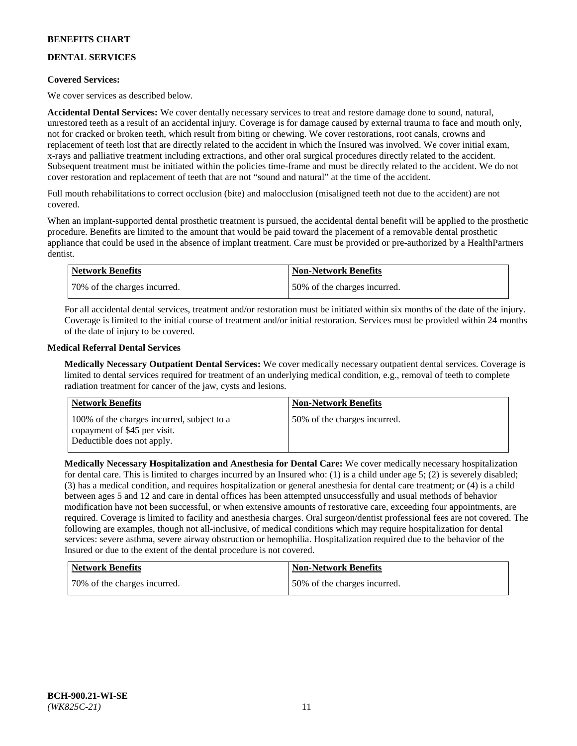# **DENTAL SERVICES**

## **Covered Services:**

We cover services as described below.

**Accidental Dental Services:** We cover dentally necessary services to treat and restore damage done to sound, natural, unrestored teeth as a result of an accidental injury. Coverage is for damage caused by external trauma to face and mouth only, not for cracked or broken teeth, which result from biting or chewing. We cover restorations, root canals, crowns and replacement of teeth lost that are directly related to the accident in which the Insured was involved. We cover initial exam, x-rays and palliative treatment including extractions, and other oral surgical procedures directly related to the accident. Subsequent treatment must be initiated within the policies time-frame and must be directly related to the accident. We do not cover restoration and replacement of teeth that are not "sound and natural" at the time of the accident.

Full mouth rehabilitations to correct occlusion (bite) and malocclusion (misaligned teeth not due to the accident) are not covered.

When an implant-supported dental prosthetic treatment is pursued, the accidental dental benefit will be applied to the prosthetic procedure. Benefits are limited to the amount that would be paid toward the placement of a removable dental prosthetic appliance that could be used in the absence of implant treatment. Care must be provided or pre-authorized by a HealthPartners dentist.

| <b>Network Benefits</b>      | <b>Non-Network Benefits</b>  |
|------------------------------|------------------------------|
| 70% of the charges incurred. | 50% of the charges incurred. |

For all accidental dental services, treatment and/or restoration must be initiated within six months of the date of the injury. Coverage is limited to the initial course of treatment and/or initial restoration. Services must be provided within 24 months of the date of injury to be covered.

## **Medical Referral Dental Services**

**Medically Necessary Outpatient Dental Services:** We cover medically necessary outpatient dental services. Coverage is limited to dental services required for treatment of an underlying medical condition, e.g., removal of teeth to complete radiation treatment for cancer of the jaw, cysts and lesions.

| Network Benefits                                                                                         | <b>Non-Network Benefits</b>  |
|----------------------------------------------------------------------------------------------------------|------------------------------|
| 100% of the charges incurred, subject to a<br>copayment of \$45 per visit.<br>Deductible does not apply. | 50% of the charges incurred. |

**Medically Necessary Hospitalization and Anesthesia for Dental Care:** We cover medically necessary hospitalization for dental care. This is limited to charges incurred by an Insured who: (1) is a child under age 5; (2) is severely disabled; (3) has a medical condition, and requires hospitalization or general anesthesia for dental care treatment; or (4) is a child between ages 5 and 12 and care in dental offices has been attempted unsuccessfully and usual methods of behavior modification have not been successful, or when extensive amounts of restorative care, exceeding four appointments, are required. Coverage is limited to facility and anesthesia charges. Oral surgeon/dentist professional fees are not covered. The following are examples, though not all-inclusive, of medical conditions which may require hospitalization for dental services: severe asthma, severe airway obstruction or hemophilia. Hospitalization required due to the behavior of the Insured or due to the extent of the dental procedure is not covered.

| <b>Network Benefits</b>      | <b>Non-Network Benefits</b>  |
|------------------------------|------------------------------|
| 70% of the charges incurred. | 50% of the charges incurred. |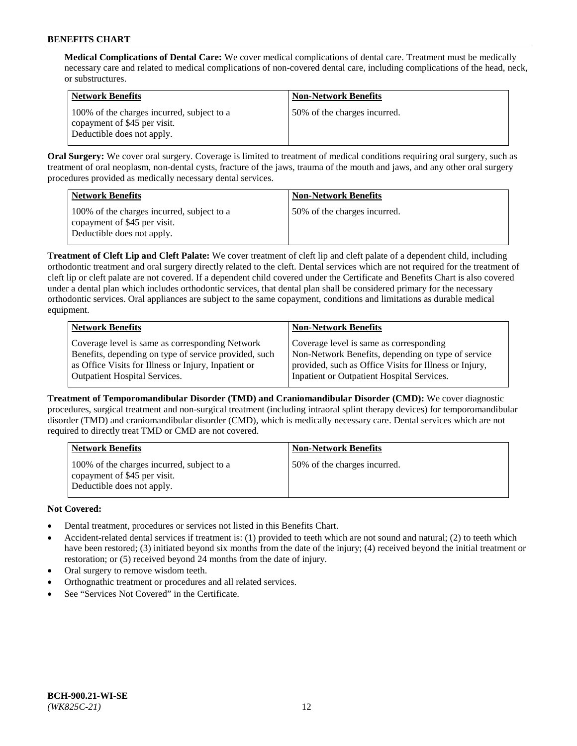**Medical Complications of Dental Care:** We cover medical complications of dental care. Treatment must be medically necessary care and related to medical complications of non-covered dental care, including complications of the head, neck, or substructures.

| <b>Network Benefits</b>                                                                                  | <b>Non-Network Benefits</b>  |
|----------------------------------------------------------------------------------------------------------|------------------------------|
| 100% of the charges incurred, subject to a<br>copayment of \$45 per visit.<br>Deductible does not apply. | 50% of the charges incurred. |

**Oral Surgery:** We cover oral surgery. Coverage is limited to treatment of medical conditions requiring oral surgery, such as treatment of oral neoplasm, non-dental cysts, fracture of the jaws, trauma of the mouth and jaws, and any other oral surgery procedures provided as medically necessary dental services.

| <b>Network Benefits</b>                                                                                  | <b>Non-Network Benefits</b>  |
|----------------------------------------------------------------------------------------------------------|------------------------------|
| 100% of the charges incurred, subject to a<br>copayment of \$45 per visit.<br>Deductible does not apply. | 50% of the charges incurred. |

**Treatment of Cleft Lip and Cleft Palate:** We cover treatment of cleft lip and cleft palate of a dependent child, including orthodontic treatment and oral surgery directly related to the cleft. Dental services which are not required for the treatment of cleft lip or cleft palate are not covered. If a dependent child covered under the Certificate and Benefits Chart is also covered under a dental plan which includes orthodontic services, that dental plan shall be considered primary for the necessary orthodontic services. Oral appliances are subject to the same copayment, conditions and limitations as durable medical equipment.

| <b>Network Benefits</b>                               | <b>Non-Network Benefits</b>                            |
|-------------------------------------------------------|--------------------------------------------------------|
| Coverage level is same as corresponding Network       | Coverage level is same as corresponding                |
| Benefits, depending on type of service provided, such | Non-Network Benefits, depending on type of service     |
| as Office Visits for Illness or Injury, Inpatient or  | provided, such as Office Visits for Illness or Injury, |
| Outpatient Hospital Services.                         | Inpatient or Outpatient Hospital Services.             |

**Treatment of Temporomandibular Disorder (TMD) and Craniomandibular Disorder (CMD):** We cover diagnostic procedures, surgical treatment and non-surgical treatment (including intraoral splint therapy devices) for temporomandibular disorder (TMD) and craniomandibular disorder (CMD), which is medically necessary care. Dental services which are not required to directly treat TMD or CMD are not covered.

| <b>Network Benefits</b>                                                                                  | <b>Non-Network Benefits</b>  |
|----------------------------------------------------------------------------------------------------------|------------------------------|
| 100% of the charges incurred, subject to a<br>copayment of \$45 per visit.<br>Deductible does not apply. | 50% of the charges incurred. |

## **Not Covered:**

- Dental treatment, procedures or services not listed in this Benefits Chart.
- Accident-related dental services if treatment is: (1) provided to teeth which are not sound and natural; (2) to teeth which have been restored; (3) initiated beyond six months from the date of the injury; (4) received beyond the initial treatment or restoration; or (5) received beyond 24 months from the date of injury.
- Oral surgery to remove wisdom teeth.
- Orthognathic treatment or procedures and all related services.
- See "Services Not Covered" in the Certificate.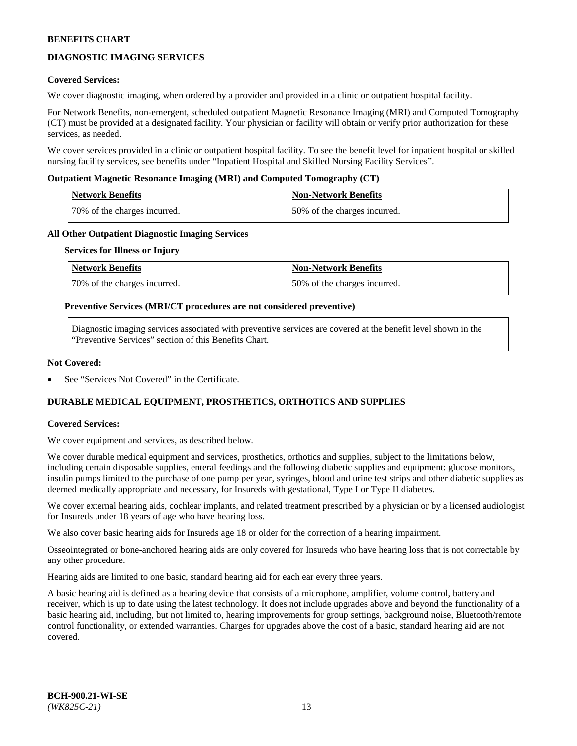## **DIAGNOSTIC IMAGING SERVICES**

#### **Covered Services:**

We cover diagnostic imaging, when ordered by a provider and provided in a clinic or outpatient hospital facility.

For Network Benefits, non-emergent, scheduled outpatient Magnetic Resonance Imaging (MRI) and Computed Tomography (CT) must be provided at a designated facility. Your physician or facility will obtain or verify prior authorization for these services, as needed.

We cover services provided in a clinic or outpatient hospital facility. To see the benefit level for inpatient hospital or skilled nursing facility services, see benefits under "Inpatient Hospital and Skilled Nursing Facility Services".

#### **Outpatient Magnetic Resonance Imaging (MRI) and Computed Tomography (CT)**

| <b>Network Benefits</b>      | <b>Non-Network Benefits</b>  |
|------------------------------|------------------------------|
| 70% of the charges incurred. | 50% of the charges incurred. |

#### **All Other Outpatient Diagnostic Imaging Services**

#### **Services for Illness or Injury**

| Network Benefits             | <b>Non-Network Benefits</b>  |
|------------------------------|------------------------------|
| 70% of the charges incurred. | 50% of the charges incurred. |

#### **Preventive Services (MRI/CT procedures are not considered preventive)**

Diagnostic imaging services associated with preventive services are covered at the benefit level shown in the "Preventive Services" section of this Benefits Chart.

#### **Not Covered:**

See "Services Not Covered" in the Certificate.

## **DURABLE MEDICAL EQUIPMENT, PROSTHETICS, ORTHOTICS AND SUPPLIES**

#### **Covered Services:**

We cover equipment and services, as described below.

We cover durable medical equipment and services, prosthetics, orthotics and supplies, subject to the limitations below, including certain disposable supplies, enteral feedings and the following diabetic supplies and equipment: glucose monitors, insulin pumps limited to the purchase of one pump per year, syringes, blood and urine test strips and other diabetic supplies as deemed medically appropriate and necessary, for Insureds with gestational, Type I or Type II diabetes.

We cover external hearing aids, cochlear implants, and related treatment prescribed by a physician or by a licensed audiologist for Insureds under 18 years of age who have hearing loss.

We also cover basic hearing aids for Insureds age 18 or older for the correction of a hearing impairment.

Osseointegrated or bone-anchored hearing aids are only covered for Insureds who have hearing loss that is not correctable by any other procedure.

Hearing aids are limited to one basic, standard hearing aid for each ear every three years.

A basic hearing aid is defined as a hearing device that consists of a microphone, amplifier, volume control, battery and receiver, which is up to date using the latest technology. It does not include upgrades above and beyond the functionality of a basic hearing aid, including, but not limited to, hearing improvements for group settings, background noise, Bluetooth/remote control functionality, or extended warranties. Charges for upgrades above the cost of a basic, standard hearing aid are not covered.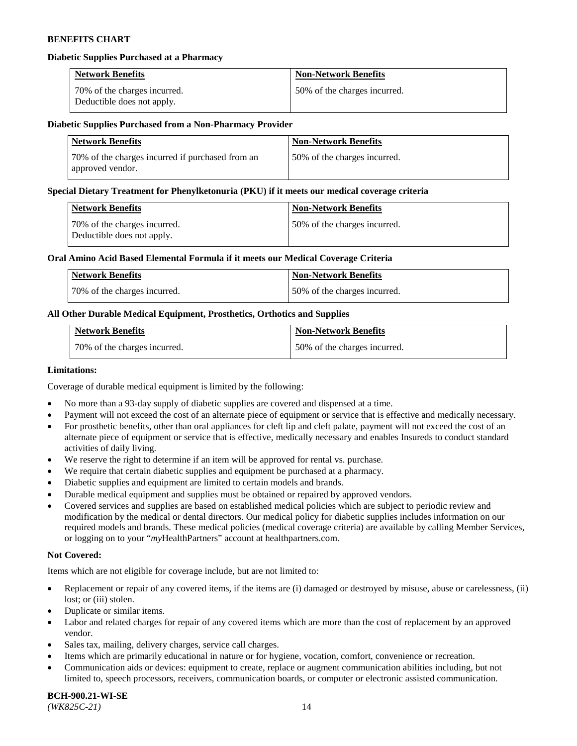### **Diabetic Supplies Purchased at a Pharmacy**

| <b>Network Benefits</b>                                    | <b>Non-Network Benefits</b>  |
|------------------------------------------------------------|------------------------------|
| 70% of the charges incurred.<br>Deductible does not apply. | 50% of the charges incurred. |

#### **Diabetic Supplies Purchased from a Non-Pharmacy Provider**

| <b>Network Benefits</b>                                              | <b>Non-Network Benefits</b>  |
|----------------------------------------------------------------------|------------------------------|
| 70% of the charges incurred if purchased from an<br>approved vendor. | 50% of the charges incurred. |

#### **Special Dietary Treatment for Phenylketonuria (PKU) if it meets our medical coverage criteria**

| Network Benefits                                           | <b>Non-Network Benefits</b>  |
|------------------------------------------------------------|------------------------------|
| 70% of the charges incurred.<br>Deductible does not apply. | 50% of the charges incurred. |

#### **Oral Amino Acid Based Elemental Formula if it meets our Medical Coverage Criteria**

| Network Benefits             | <b>Non-Network Benefits</b>  |
|------------------------------|------------------------------|
| 70% of the charges incurred. | 50% of the charges incurred. |

## **All Other Durable Medical Equipment, Prosthetics, Orthotics and Supplies**

| <b>Network Benefits</b>      | <b>Non-Network Benefits</b>  |
|------------------------------|------------------------------|
| 70% of the charges incurred. | 50% of the charges incurred. |

#### **Limitations:**

Coverage of durable medical equipment is limited by the following:

- No more than a 93-day supply of diabetic supplies are covered and dispensed at a time.
- Payment will not exceed the cost of an alternate piece of equipment or service that is effective and medically necessary.
- For prosthetic benefits, other than oral appliances for cleft lip and cleft palate, payment will not exceed the cost of an alternate piece of equipment or service that is effective, medically necessary and enables Insureds to conduct standard
- activities of daily living. We reserve the right to determine if an item will be approved for rental vs. purchase.
- We require that certain diabetic supplies and equipment be purchased at a pharmacy.
- Diabetic supplies and equipment are limited to certain models and brands.
- Durable medical equipment and supplies must be obtained or repaired by approved vendors.
- Covered services and supplies are based on established medical policies which are subject to periodic review and modification by the medical or dental directors. Our medical policy for diabetic supplies includes information on our required models and brands. These medical policies (medical coverage criteria) are available by calling Member Services, or logging on to your "*my*HealthPartners" account a[t healthpartners.com.](https://www.healthpartners.com/hp/index.html)

#### **Not Covered:**

Items which are not eligible for coverage include, but are not limited to:

- Replacement or repair of any covered items, if the items are (i) damaged or destroyed by misuse, abuse or carelessness, (ii) lost; or (iii) stolen.
- Duplicate or similar items.
- Labor and related charges for repair of any covered items which are more than the cost of replacement by an approved vendor.
- Sales tax, mailing, delivery charges, service call charges.
- Items which are primarily educational in nature or for hygiene, vocation, comfort, convenience or recreation.
- Communication aids or devices: equipment to create, replace or augment communication abilities including, but not limited to, speech processors, receivers, communication boards, or computer or electronic assisted communication.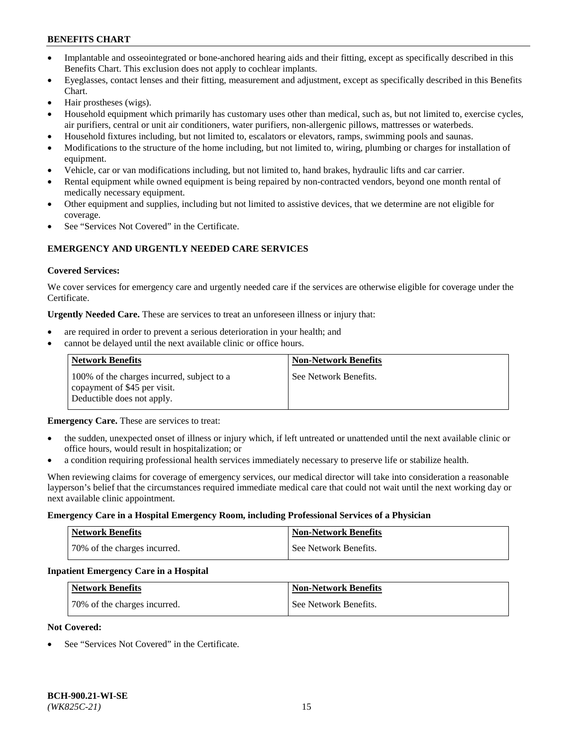- Implantable and osseointegrated or bone-anchored hearing aids and their fitting, except as specifically described in this Benefits Chart. This exclusion does not apply to cochlear implants.
- Eyeglasses, contact lenses and their fitting, measurement and adjustment, except as specifically described in this Benefits Chart.
- Hair prostheses (wigs).
- Household equipment which primarily has customary uses other than medical, such as, but not limited to, exercise cycles, air purifiers, central or unit air conditioners, water purifiers, non-allergenic pillows, mattresses or waterbeds.
- Household fixtures including, but not limited to, escalators or elevators, ramps, swimming pools and saunas.
- Modifications to the structure of the home including, but not limited to, wiring, plumbing or charges for installation of equipment.
- Vehicle, car or van modifications including, but not limited to, hand brakes, hydraulic lifts and car carrier.
- Rental equipment while owned equipment is being repaired by non-contracted vendors, beyond one month rental of medically necessary equipment.
- Other equipment and supplies, including but not limited to assistive devices, that we determine are not eligible for coverage.
- See "Services Not Covered" in the Certificate.

## **EMERGENCY AND URGENTLY NEEDED CARE SERVICES**

#### **Covered Services:**

We cover services for emergency care and urgently needed care if the services are otherwise eligible for coverage under the Certificate.

**Urgently Needed Care.** These are services to treat an unforeseen illness or injury that:

- are required in order to prevent a serious deterioration in your health; and
- cannot be delayed until the next available clinic or office hours.

| <b>Network Benefits</b>                                                                                  | <b>Non-Network Benefits</b> |
|----------------------------------------------------------------------------------------------------------|-----------------------------|
| 100% of the charges incurred, subject to a<br>copayment of \$45 per visit.<br>Deductible does not apply. | See Network Benefits.       |

**Emergency Care.** These are services to treat:

- the sudden, unexpected onset of illness or injury which, if left untreated or unattended until the next available clinic or office hours, would result in hospitalization; or
- a condition requiring professional health services immediately necessary to preserve life or stabilize health.

When reviewing claims for coverage of emergency services, our medical director will take into consideration a reasonable layperson's belief that the circumstances required immediate medical care that could not wait until the next working day or next available clinic appointment.

#### **Emergency Care in a Hospital Emergency Room, including Professional Services of a Physician**

| <b>Network Benefits</b>      | <b>Non-Network Benefits</b> |
|------------------------------|-----------------------------|
| 70% of the charges incurred. | See Network Benefits.       |

#### **Inpatient Emergency Care in a Hospital**

| <b>Network Benefits</b>      | <b>Non-Network Benefits</b> |
|------------------------------|-----------------------------|
| 70% of the charges incurred. | See Network Benefits.       |

### **Not Covered:**

See "Services Not Covered" in the Certificate.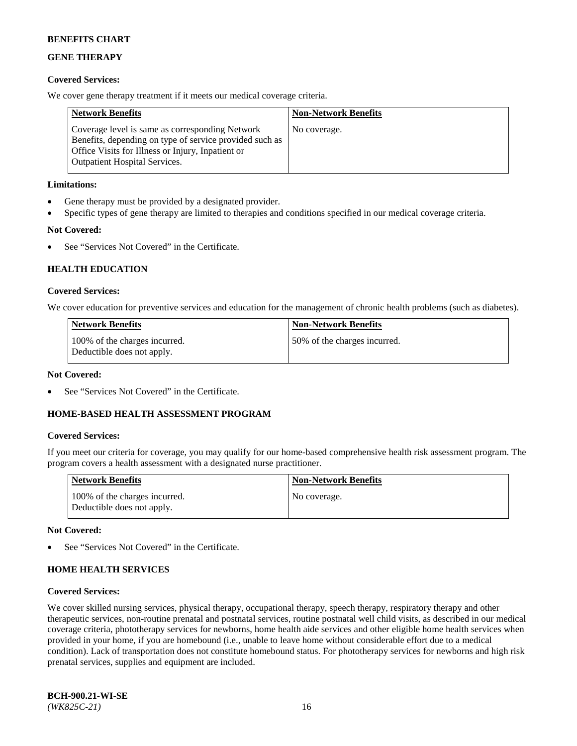## **GENE THERAPY**

## **Covered Services:**

We cover gene therapy treatment if it meets our medical coverage criteria.

| <b>Network Benefits</b>                                                                                                                                                                                 | <b>Non-Network Benefits</b> |
|---------------------------------------------------------------------------------------------------------------------------------------------------------------------------------------------------------|-----------------------------|
| Coverage level is same as corresponding Network<br>Benefits, depending on type of service provided such as<br>Office Visits for Illness or Injury, Inpatient or<br><b>Outpatient Hospital Services.</b> | No coverage.                |

## **Limitations:**

- Gene therapy must be provided by a designated provider.
- Specific types of gene therapy are limited to therapies and conditions specified in our medical coverage criteria.

## **Not Covered:**

See "Services Not Covered" in the Certificate.

## **HEALTH EDUCATION**

## **Covered Services:**

We cover education for preventive services and education for the management of chronic health problems (such as diabetes).

| <b>Network Benefits</b>                                     | <b>Non-Network Benefits</b>  |
|-------------------------------------------------------------|------------------------------|
| 100% of the charges incurred.<br>Deductible does not apply. | 50% of the charges incurred. |

### **Not Covered:**

See "Services Not Covered" in the Certificate.

## **HOME-BASED HEALTH ASSESSMENT PROGRAM**

## **Covered Services:**

If you meet our criteria for coverage, you may qualify for our home-based comprehensive health risk assessment program. The program covers a health assessment with a designated nurse practitioner.

| Network Benefits                                            | <b>Non-Network Benefits</b> |
|-------------------------------------------------------------|-----------------------------|
| 100% of the charges incurred.<br>Deductible does not apply. | No coverage.                |

## **Not Covered:**

See "Services Not Covered" in the Certificate.

## **HOME HEALTH SERVICES**

#### **Covered Services:**

We cover skilled nursing services, physical therapy, occupational therapy, speech therapy, respiratory therapy and other therapeutic services, non-routine prenatal and postnatal services, routine postnatal well child visits, as described in our medical coverage criteria, phototherapy services for newborns, home health aide services and other eligible home health services when provided in your home, if you are homebound (i.e., unable to leave home without considerable effort due to a medical condition). Lack of transportation does not constitute homebound status. For phototherapy services for newborns and high risk prenatal services, supplies and equipment are included.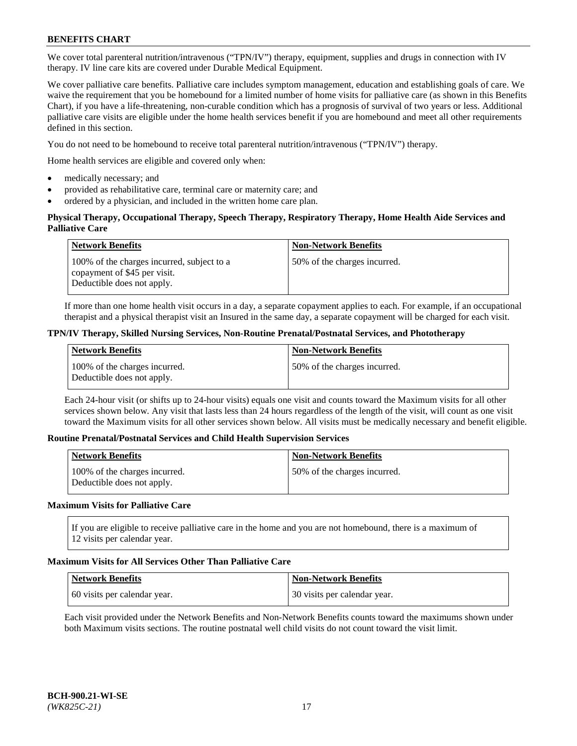We cover total parenteral nutrition/intravenous ("TPN/IV") therapy, equipment, supplies and drugs in connection with IV therapy. IV line care kits are covered under Durable Medical Equipment.

We cover palliative care benefits. Palliative care includes symptom management, education and establishing goals of care. We waive the requirement that you be homebound for a limited number of home visits for palliative care (as shown in this Benefits Chart), if you have a life-threatening, non-curable condition which has a prognosis of survival of two years or less. Additional palliative care visits are eligible under the home health services benefit if you are homebound and meet all other requirements defined in this section.

You do not need to be homebound to receive total parenteral nutrition/intravenous ("TPN/IV") therapy.

Home health services are eligible and covered only when:

- medically necessary; and
- provided as rehabilitative care, terminal care or maternity care; and
- ordered by a physician, and included in the written home care plan.

### **Physical Therapy, Occupational Therapy, Speech Therapy, Respiratory Therapy, Home Health Aide Services and Palliative Care**

| <b>Network Benefits</b>                                                                                  | <b>Non-Network Benefits</b>  |
|----------------------------------------------------------------------------------------------------------|------------------------------|
| 100% of the charges incurred, subject to a<br>copayment of \$45 per visit.<br>Deductible does not apply. | 50% of the charges incurred. |

If more than one home health visit occurs in a day, a separate copayment applies to each. For example, if an occupational therapist and a physical therapist visit an Insured in the same day, a separate copayment will be charged for each visit.

#### **TPN/IV Therapy, Skilled Nursing Services, Non-Routine Prenatal/Postnatal Services, and Phototherapy**

| Network Benefits                                            | <b>Non-Network Benefits</b>  |
|-------------------------------------------------------------|------------------------------|
| 100% of the charges incurred.<br>Deductible does not apply. | 50% of the charges incurred. |

Each 24-hour visit (or shifts up to 24-hour visits) equals one visit and counts toward the Maximum visits for all other services shown below. Any visit that lasts less than 24 hours regardless of the length of the visit, will count as one visit toward the Maximum visits for all other services shown below. All visits must be medically necessary and benefit eligible.

#### **Routine Prenatal/Postnatal Services and Child Health Supervision Services**

| <b>Network Benefits</b>                                     | <b>Non-Network Benefits</b>   |
|-------------------------------------------------------------|-------------------------------|
| 100% of the charges incurred.<br>Deductible does not apply. | 150% of the charges incurred. |

## **Maximum Visits for Palliative Care**

If you are eligible to receive palliative care in the home and you are not homebound, there is a maximum of 12 visits per calendar year.

#### **Maximum Visits for All Services Other Than Palliative Care**

| Network Benefits             | <b>Non-Network Benefits</b>  |
|------------------------------|------------------------------|
| 60 visits per calendar year. | 30 visits per calendar year. |

Each visit provided under the Network Benefits and Non-Network Benefits counts toward the maximums shown under both Maximum visits sections. The routine postnatal well child visits do not count toward the visit limit.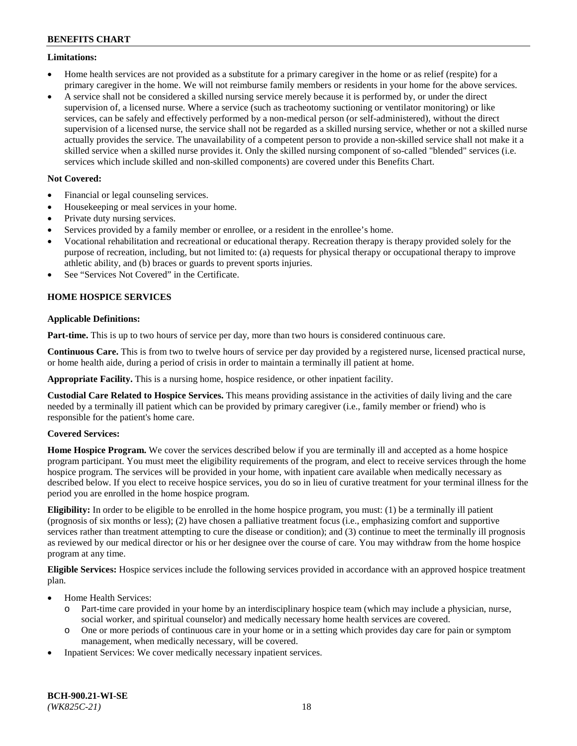### **Limitations:**

- Home health services are not provided as a substitute for a primary caregiver in the home or as relief (respite) for a primary caregiver in the home. We will not reimburse family members or residents in your home for the above services.
- A service shall not be considered a skilled nursing service merely because it is performed by, or under the direct supervision of, a licensed nurse. Where a service (such as tracheotomy suctioning or ventilator monitoring) or like services, can be safely and effectively performed by a non-medical person (or self-administered), without the direct supervision of a licensed nurse, the service shall not be regarded as a skilled nursing service, whether or not a skilled nurse actually provides the service. The unavailability of a competent person to provide a non-skilled service shall not make it a skilled service when a skilled nurse provides it. Only the skilled nursing component of so-called "blended" services (i.e. services which include skilled and non-skilled components) are covered under this Benefits Chart.

## **Not Covered:**

- Financial or legal counseling services.
- Housekeeping or meal services in your home.
- Private duty nursing services.
- Services provided by a family member or enrollee, or a resident in the enrollee's home.
- Vocational rehabilitation and recreational or educational therapy. Recreation therapy is therapy provided solely for the purpose of recreation, including, but not limited to: (a) requests for physical therapy or occupational therapy to improve athletic ability, and (b) braces or guards to prevent sports injuries.
- See "Services Not Covered" in the Certificate.

## **HOME HOSPICE SERVICES**

## **Applicable Definitions:**

**Part-time.** This is up to two hours of service per day, more than two hours is considered continuous care.

**Continuous Care.** This is from two to twelve hours of service per day provided by a registered nurse, licensed practical nurse, or home health aide, during a period of crisis in order to maintain a terminally ill patient at home.

**Appropriate Facility.** This is a nursing home, hospice residence, or other inpatient facility.

**Custodial Care Related to Hospice Services.** This means providing assistance in the activities of daily living and the care needed by a terminally ill patient which can be provided by primary caregiver (i.e., family member or friend) who is responsible for the patient's home care.

## **Covered Services:**

**Home Hospice Program.** We cover the services described below if you are terminally ill and accepted as a home hospice program participant. You must meet the eligibility requirements of the program, and elect to receive services through the home hospice program. The services will be provided in your home, with inpatient care available when medically necessary as described below. If you elect to receive hospice services, you do so in lieu of curative treatment for your terminal illness for the period you are enrolled in the home hospice program.

**Eligibility:** In order to be eligible to be enrolled in the home hospice program, you must: (1) be a terminally ill patient (prognosis of six months or less); (2) have chosen a palliative treatment focus (i.e., emphasizing comfort and supportive services rather than treatment attempting to cure the disease or condition); and (3) continue to meet the terminally ill prognosis as reviewed by our medical director or his or her designee over the course of care. You may withdraw from the home hospice program at any time.

**Eligible Services:** Hospice services include the following services provided in accordance with an approved hospice treatment plan.

- Home Health Services:
	- o Part-time care provided in your home by an interdisciplinary hospice team (which may include a physician, nurse, social worker, and spiritual counselor) and medically necessary home health services are covered.
	- o One or more periods of continuous care in your home or in a setting which provides day care for pain or symptom management, when medically necessary, will be covered.
- Inpatient Services: We cover medically necessary inpatient services.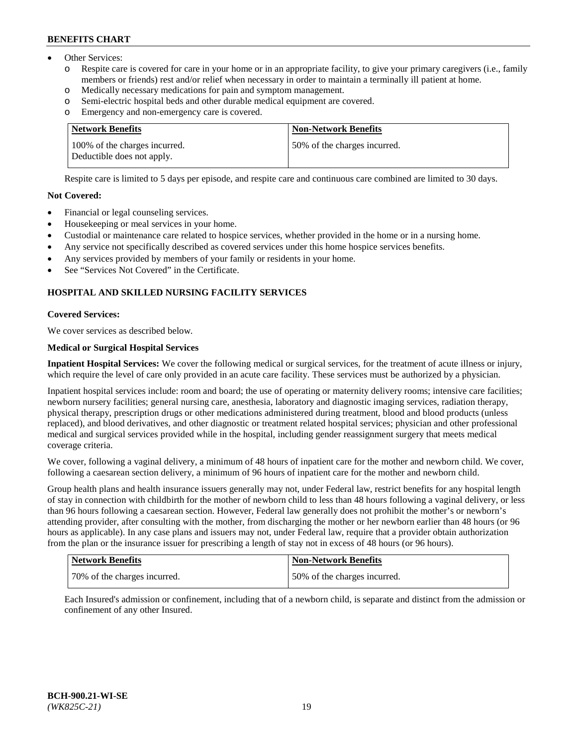- Other Services:
	- Respite care is covered for care in your home or in an appropriate facility, to give your primary caregivers (i.e., family members or friends) rest and/or relief when necessary in order to maintain a terminally ill patient at home.
	- o Medically necessary medications for pain and symptom management.
	- o Semi-electric hospital beds and other durable medical equipment are covered.
	- Emergency and non-emergency care is covered.

| Network Benefits                                            | <b>Non-Network Benefits</b>  |
|-------------------------------------------------------------|------------------------------|
| 100% of the charges incurred.<br>Deductible does not apply. | 50% of the charges incurred. |

Respite care is limited to 5 days per episode, and respite care and continuous care combined are limited to 30 days.

#### **Not Covered:**

- Financial or legal counseling services.
- Housekeeping or meal services in your home.
- Custodial or maintenance care related to hospice services, whether provided in the home or in a nursing home.
- Any service not specifically described as covered services under this home hospice services benefits.
- Any services provided by members of your family or residents in your home.
- See "Services Not Covered" in the Certificate.

## **HOSPITAL AND SKILLED NURSING FACILITY SERVICES**

#### **Covered Services:**

We cover services as described below.

## **Medical or Surgical Hospital Services**

**Inpatient Hospital Services:** We cover the following medical or surgical services, for the treatment of acute illness or injury, which require the level of care only provided in an acute care facility. These services must be authorized by a physician.

Inpatient hospital services include: room and board; the use of operating or maternity delivery rooms; intensive care facilities; newborn nursery facilities; general nursing care, anesthesia, laboratory and diagnostic imaging services, radiation therapy, physical therapy, prescription drugs or other medications administered during treatment, blood and blood products (unless replaced), and blood derivatives, and other diagnostic or treatment related hospital services; physician and other professional medical and surgical services provided while in the hospital, including gender reassignment surgery that meets medical coverage criteria.

We cover, following a vaginal delivery, a minimum of 48 hours of inpatient care for the mother and newborn child. We cover, following a caesarean section delivery, a minimum of 96 hours of inpatient care for the mother and newborn child.

Group health plans and health insurance issuers generally may not, under Federal law, restrict benefits for any hospital length of stay in connection with childbirth for the mother of newborn child to less than 48 hours following a vaginal delivery, or less than 96 hours following a caesarean section. However, Federal law generally does not prohibit the mother's or newborn's attending provider, after consulting with the mother, from discharging the mother or her newborn earlier than 48 hours (or 96 hours as applicable). In any case plans and issuers may not, under Federal law, require that a provider obtain authorization from the plan or the insurance issuer for prescribing a length of stay not in excess of 48 hours (or 96 hours).

| Network Benefits             | Non-Network Benefits         |
|------------------------------|------------------------------|
| 70% of the charges incurred. | 50% of the charges incurred. |

Each Insured's admission or confinement, including that of a newborn child, is separate and distinct from the admission or confinement of any other Insured.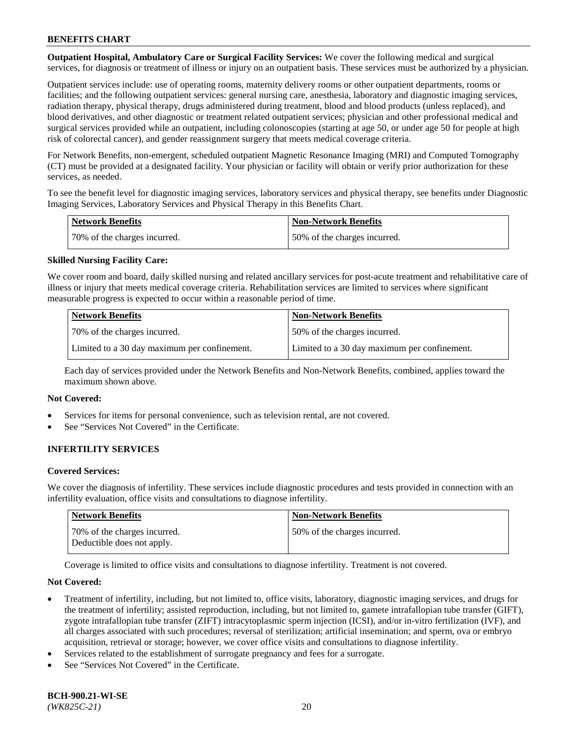**Outpatient Hospital, Ambulatory Care or Surgical Facility Services:** We cover the following medical and surgical services, for diagnosis or treatment of illness or injury on an outpatient basis. These services must be authorized by a physician.

Outpatient services include: use of operating rooms, maternity delivery rooms or other outpatient departments, rooms or facilities; and the following outpatient services: general nursing care, anesthesia, laboratory and diagnostic imaging services, radiation therapy, physical therapy, drugs administered during treatment, blood and blood products (unless replaced), and blood derivatives, and other diagnostic or treatment related outpatient services; physician and other professional medical and surgical services provided while an outpatient, including colonoscopies (starting at age 50, or under age 50 for people at high risk of colorectal cancer), and gender reassignment surgery that meets medical coverage criteria.

For Network Benefits, non-emergent, scheduled outpatient Magnetic Resonance Imaging (MRI) and Computed Tomography (CT) must be provided at a designated facility. Your physician or facility will obtain or verify prior authorization for these services, as needed.

To see the benefit level for diagnostic imaging services, laboratory services and physical therapy, see benefits under Diagnostic Imaging Services, Laboratory Services and Physical Therapy in this Benefits Chart.

| <b>Network Benefits</b>      | <b>Non-Network Benefits</b>  |
|------------------------------|------------------------------|
| 70% of the charges incurred. | 50% of the charges incurred. |

## **Skilled Nursing Facility Care:**

We cover room and board, daily skilled nursing and related ancillary services for post-acute treatment and rehabilitative care of illness or injury that meets medical coverage criteria. Rehabilitation services are limited to services where significant measurable progress is expected to occur within a reasonable period of time.

| <b>Network Benefits</b>                      | <b>Non-Network Benefits</b>                  |
|----------------------------------------------|----------------------------------------------|
| 70\% of the charges incurred.                | 150% of the charges incurred.                |
| Limited to a 30 day maximum per confinement. | Limited to a 30 day maximum per confinement. |

Each day of services provided under the Network Benefits and Non-Network Benefits, combined, applies toward the maximum shown above.

#### **Not Covered:**

- Services for items for personal convenience, such as television rental, are not covered.
- See "Services Not Covered" in the Certificate.

## **INFERTILITY SERVICES**

#### **Covered Services:**

We cover the diagnosis of infertility. These services include diagnostic procedures and tests provided in connection with an infertility evaluation, office visits and consultations to diagnose infertility.

| <b>Network Benefits</b>                                    | Non-Network Benefits         |
|------------------------------------------------------------|------------------------------|
| 70% of the charges incurred.<br>Deductible does not apply. | 50% of the charges incurred. |

Coverage is limited to office visits and consultations to diagnose infertility. Treatment is not covered.

#### **Not Covered:**

- Treatment of infertility, including, but not limited to, office visits, laboratory, diagnostic imaging services, and drugs for the treatment of infertility; assisted reproduction, including, but not limited to, gamete intrafallopian tube transfer (GIFT), zygote intrafallopian tube transfer (ZIFT) intracytoplasmic sperm injection (ICSI), and/or in-vitro fertilization (IVF), and all charges associated with such procedures; reversal of sterilization; artificial insemination; and sperm, ova or embryo acquisition, retrieval or storage; however, we cover office visits and consultations to diagnose infertility.
- Services related to the establishment of surrogate pregnancy and fees for a surrogate.
- See "Services Not Covered" in the Certificate.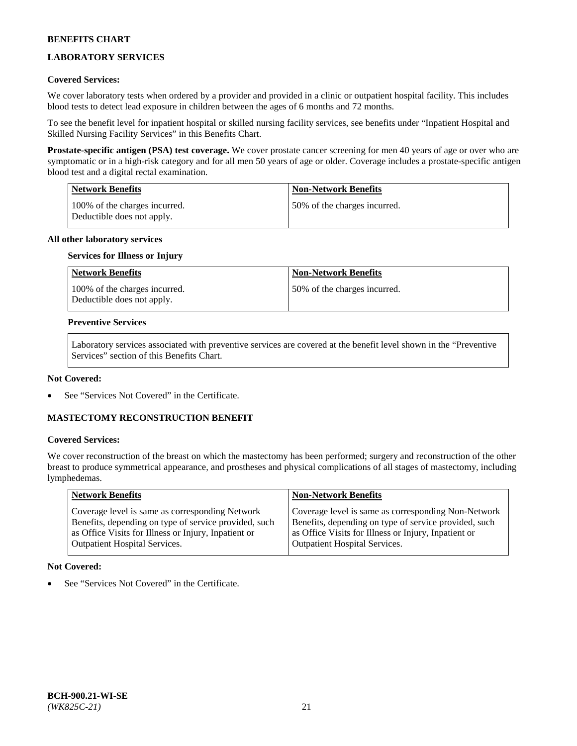# **LABORATORY SERVICES**

## **Covered Services:**

We cover laboratory tests when ordered by a provider and provided in a clinic or outpatient hospital facility. This includes blood tests to detect lead exposure in children between the ages of 6 months and 72 months.

To see the benefit level for inpatient hospital or skilled nursing facility services, see benefits under "Inpatient Hospital and Skilled Nursing Facility Services" in this Benefits Chart.

**Prostate-specific antigen (PSA) test coverage.** We cover prostate cancer screening for men 40 years of age or over who are symptomatic or in a high-risk category and for all men 50 years of age or older. Coverage includes a prostate-specific antigen blood test and a digital rectal examination.

| Network Benefits                                            | <b>Non-Network Benefits</b>  |
|-------------------------------------------------------------|------------------------------|
| 100% of the charges incurred.<br>Deductible does not apply. | 50% of the charges incurred. |

## **All other laboratory services**

#### **Services for Illness or Injury**

| <b>Network Benefits</b>                                     | <b>Non-Network Benefits</b>  |
|-------------------------------------------------------------|------------------------------|
| 100% of the charges incurred.<br>Deductible does not apply. | 50% of the charges incurred. |

#### **Preventive Services**

Laboratory services associated with preventive services are covered at the benefit level shown in the "Preventive Services" section of this Benefits Chart.

### **Not Covered:**

See "Services Not Covered" in the Certificate.

## **MASTECTOMY RECONSTRUCTION BENEFIT**

#### **Covered Services:**

We cover reconstruction of the breast on which the mastectomy has been performed; surgery and reconstruction of the other breast to produce symmetrical appearance, and prostheses and physical complications of all stages of mastectomy, including lymphedemas.

| <b>Network Benefits</b>                               | <b>Non-Network Benefits</b>                           |
|-------------------------------------------------------|-------------------------------------------------------|
| Coverage level is same as corresponding Network       | Coverage level is same as corresponding Non-Network   |
| Benefits, depending on type of service provided, such | Benefits, depending on type of service provided, such |
| as Office Visits for Illness or Injury, Inpatient or  | as Office Visits for Illness or Injury, Inpatient or  |
| <b>Outpatient Hospital Services.</b>                  | <b>Outpatient Hospital Services.</b>                  |

## **Not Covered:**

See "Services Not Covered" in the Certificate.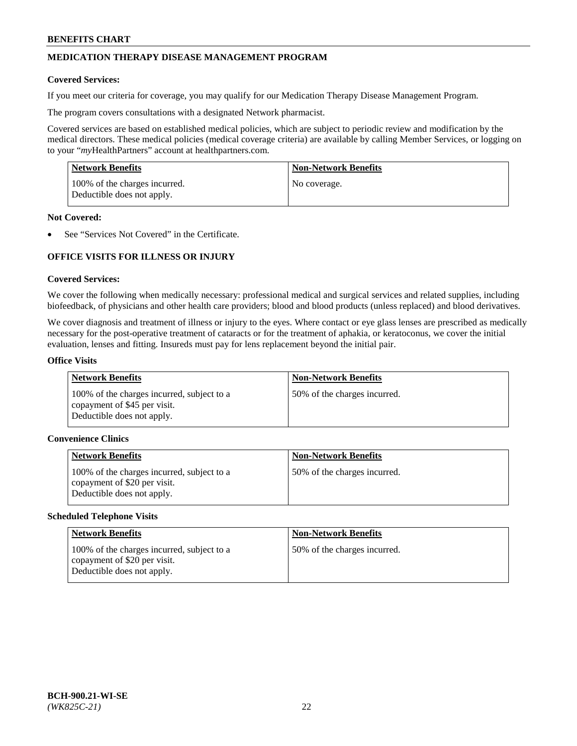## **MEDICATION THERAPY DISEASE MANAGEMENT PROGRAM**

#### **Covered Services:**

If you meet our criteria for coverage, you may qualify for our Medication Therapy Disease Management Program.

The program covers consultations with a designated Network pharmacist.

Covered services are based on established medical policies, which are subject to periodic review and modification by the medical directors. These medical policies (medical coverage criteria) are available by calling Member Services, or logging on to your "*my*HealthPartners" account at [healthpartners.com.](http://www.healthpartners.com/)

| Network Benefits                                            | <b>Non-Network Benefits</b> |
|-------------------------------------------------------------|-----------------------------|
| 100% of the charges incurred.<br>Deductible does not apply. | No coverage.                |

#### **Not Covered:**

See "Services Not Covered" in the Certificate.

## **OFFICE VISITS FOR ILLNESS OR INJURY**

#### **Covered Services:**

We cover the following when medically necessary: professional medical and surgical services and related supplies, including biofeedback, of physicians and other health care providers; blood and blood products (unless replaced) and blood derivatives.

We cover diagnosis and treatment of illness or injury to the eyes. Where contact or eye glass lenses are prescribed as medically necessary for the post-operative treatment of cataracts or for the treatment of aphakia, or keratoconus, we cover the initial evaluation, lenses and fitting. Insureds must pay for lens replacement beyond the initial pair.

#### **Office Visits**

| <b>Network Benefits</b>                                                                                  | <b>Non-Network Benefits</b>  |
|----------------------------------------------------------------------------------------------------------|------------------------------|
| 100% of the charges incurred, subject to a<br>copayment of \$45 per visit.<br>Deductible does not apply. | 50% of the charges incurred. |

#### **Convenience Clinics**

| <b>Network Benefits</b>                                                                                  | <b>Non-Network Benefits</b>  |
|----------------------------------------------------------------------------------------------------------|------------------------------|
| 100% of the charges incurred, subject to a<br>copayment of \$20 per visit.<br>Deductible does not apply. | 50% of the charges incurred. |

#### **Scheduled Telephone Visits**

| <b>Network Benefits</b>                                                                                  | <b>Non-Network Benefits</b>  |
|----------------------------------------------------------------------------------------------------------|------------------------------|
| 100% of the charges incurred, subject to a<br>copayment of \$20 per visit.<br>Deductible does not apply. | 50% of the charges incurred. |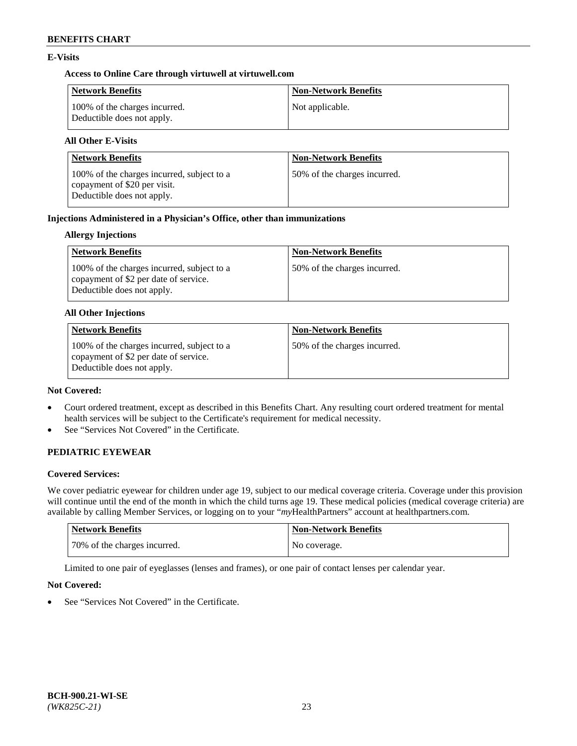## **E-Visits**

## **Access to Online Care through virtuwell a[t virtuwell.com](https://www.virtuwell.com/)**

| Network Benefits                                            | <b>Non-Network Benefits</b> |
|-------------------------------------------------------------|-----------------------------|
| 100% of the charges incurred.<br>Deductible does not apply. | Not applicable.             |

## **All Other E-Visits**

| <b>Network Benefits</b>                                                                                  | <b>Non-Network Benefits</b>  |
|----------------------------------------------------------------------------------------------------------|------------------------------|
| 100% of the charges incurred, subject to a<br>copayment of \$20 per visit.<br>Deductible does not apply. | 50% of the charges incurred. |

## **Injections Administered in a Physician's Office, other than immunizations**

## **Allergy Injections**

| Network Benefits                                                                                                  | <b>Non-Network Benefits</b>  |
|-------------------------------------------------------------------------------------------------------------------|------------------------------|
| 100% of the charges incurred, subject to a<br>copayment of \$2 per date of service.<br>Deductible does not apply. | 50% of the charges incurred. |

#### **All Other Injections**

| <b>Network Benefits</b>                                                                                           | <b>Non-Network Benefits</b>  |
|-------------------------------------------------------------------------------------------------------------------|------------------------------|
| 100% of the charges incurred, subject to a<br>copayment of \$2 per date of service.<br>Deductible does not apply. | 50% of the charges incurred. |

#### **Not Covered:**

- Court ordered treatment, except as described in this Benefits Chart. Any resulting court ordered treatment for mental health services will be subject to the Certificate's requirement for medical necessity.
- See "Services Not Covered" in the Certificate.

## **PEDIATRIC EYEWEAR**

## **Covered Services:**

We cover pediatric eyewear for children under age 19, subject to our medical coverage criteria. Coverage under this provision will continue until the end of the month in which the child turns age 19. These medical policies (medical coverage criteria) are available by calling Member Services, or logging on to your "*my*HealthPartners" account a[t healthpartners.com.](https://www.healthpartners.com/hp/index.html)

| Network Benefits             | <b>Non-Network Benefits</b> |
|------------------------------|-----------------------------|
| 70% of the charges incurred. | No coverage.                |

Limited to one pair of eyeglasses (lenses and frames), or one pair of contact lenses per calendar year.

## **Not Covered:**

See "Services Not Covered" in the Certificate.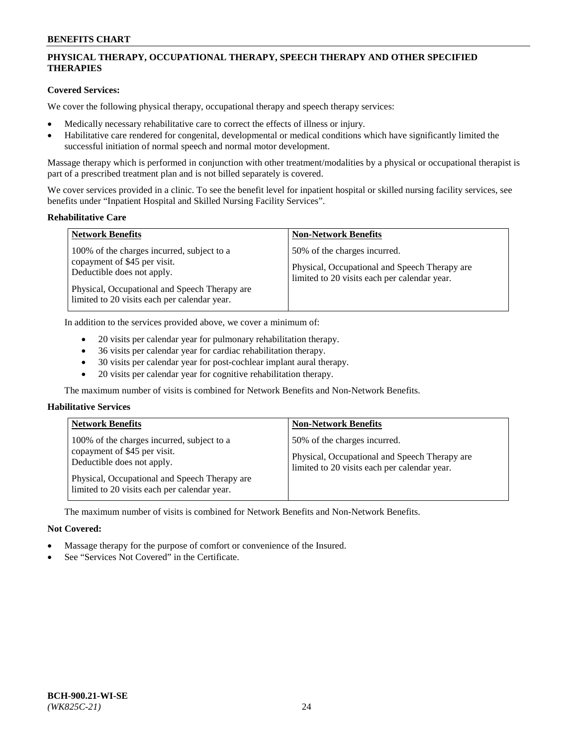## **PHYSICAL THERAPY, OCCUPATIONAL THERAPY, SPEECH THERAPY AND OTHER SPECIFIED THERAPIES**

## **Covered Services:**

We cover the following physical therapy, occupational therapy and speech therapy services:

- Medically necessary rehabilitative care to correct the effects of illness or injury.
- Habilitative care rendered for congenital, developmental or medical conditions which have significantly limited the successful initiation of normal speech and normal motor development.

Massage therapy which is performed in conjunction with other treatment/modalities by a physical or occupational therapist is part of a prescribed treatment plan and is not billed separately is covered.

We cover services provided in a clinic. To see the benefit level for inpatient hospital or skilled nursing facility services, see benefits under "Inpatient Hospital and Skilled Nursing Facility Services".

#### **Rehabilitative Care**

| <b>Network Benefits</b>                                                                                                                                                                                   | <b>Non-Network Benefits</b>                                                                                                   |
|-----------------------------------------------------------------------------------------------------------------------------------------------------------------------------------------------------------|-------------------------------------------------------------------------------------------------------------------------------|
| 100% of the charges incurred, subject to a<br>copayment of \$45 per visit.<br>Deductible does not apply.<br>Physical, Occupational and Speech Therapy are<br>limited to 20 visits each per calendar year. | 50% of the charges incurred.<br>Physical, Occupational and Speech Therapy are<br>limited to 20 visits each per calendar year. |

In addition to the services provided above, we cover a minimum of:

- 20 visits per calendar year for pulmonary rehabilitation therapy.
- 36 visits per calendar year for cardiac rehabilitation therapy.
- 30 visits per calendar year for post-cochlear implant aural therapy.
- 20 visits per calendar year for cognitive rehabilitation therapy.

The maximum number of visits is combined for Network Benefits and Non-Network Benefits.

## **Habilitative Services**

| <b>Network Benefits</b>                                                                                                                                                                                   | <b>Non-Network Benefits</b>                                                                                                   |
|-----------------------------------------------------------------------------------------------------------------------------------------------------------------------------------------------------------|-------------------------------------------------------------------------------------------------------------------------------|
| 100% of the charges incurred, subject to a<br>copayment of \$45 per visit.<br>Deductible does not apply.<br>Physical, Occupational and Speech Therapy are<br>limited to 20 visits each per calendar year. | 50% of the charges incurred.<br>Physical, Occupational and Speech Therapy are<br>limited to 20 visits each per calendar year. |

The maximum number of visits is combined for Network Benefits and Non-Network Benefits.

## **Not Covered:**

- Massage therapy for the purpose of comfort or convenience of the Insured.
- See "Services Not Covered" in the Certificate.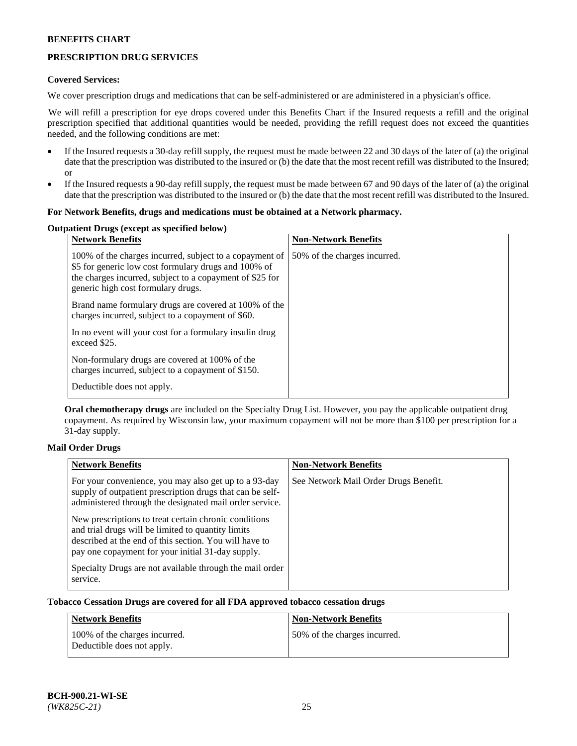## **PRESCRIPTION DRUG SERVICES**

### **Covered Services:**

We cover prescription drugs and medications that can be self-administered or are administered in a physician's office.

We will refill a prescription for eye drops covered under this Benefits Chart if the Insured requests a refill and the original prescription specified that additional quantities would be needed, providing the refill request does not exceed the quantities needed, and the following conditions are met:

- If the Insured requests a 30-day refill supply, the request must be made between 22 and 30 days of the later of (a) the original date that the prescription was distributed to the insured or (b) the date that the most recent refill was distributed to the Insured; or
- If the Insured requests a 90-day refill supply, the request must be made between 67 and 90 days of the later of (a) the original date that the prescription was distributed to the insured or (b) the date that the most recent refill was distributed to the Insured.

#### **For Network Benefits, drugs and medications must be obtained at a Network pharmacy.**

## **Outpatient Drugs (except as specified below)**

| <b>Network Benefits</b>                                                                                                                                                                                           | <b>Non-Network Benefits</b>  |
|-------------------------------------------------------------------------------------------------------------------------------------------------------------------------------------------------------------------|------------------------------|
| 100% of the charges incurred, subject to a copayment of<br>\$5 for generic low cost formulary drugs and 100% of<br>the charges incurred, subject to a copayment of \$25 for<br>generic high cost formulary drugs. | 50% of the charges incurred. |
| Brand name formulary drugs are covered at 100% of the<br>charges incurred, subject to a copayment of \$60.                                                                                                        |                              |
| In no event will your cost for a formulary insulin drug<br>exceed \$25.                                                                                                                                           |                              |
| Non-formulary drugs are covered at 100% of the<br>charges incurred, subject to a copayment of \$150.                                                                                                              |                              |
| Deductible does not apply.                                                                                                                                                                                        |                              |

**Oral chemotherapy drugs** are included on the Specialty Drug List. However, you pay the applicable outpatient drug copayment. As required by Wisconsin law, your maximum copayment will not be more than \$100 per prescription for a 31-day supply.

## **Mail Order Drugs**

| <b>Network Benefits</b>                                                                                                                                                                                                    | <b>Non-Network Benefits</b>           |
|----------------------------------------------------------------------------------------------------------------------------------------------------------------------------------------------------------------------------|---------------------------------------|
| For your convenience, you may also get up to a 93-day<br>supply of outpatient prescription drugs that can be self-<br>administered through the designated mail order service.                                              | See Network Mail Order Drugs Benefit. |
| New prescriptions to treat certain chronic conditions<br>and trial drugs will be limited to quantity limits<br>described at the end of this section. You will have to<br>pay one copayment for your initial 31-day supply. |                                       |
| Specialty Drugs are not available through the mail order<br>service.                                                                                                                                                       |                                       |

## **Tobacco Cessation Drugs are covered for all FDA approved tobacco cessation drugs**

| <b>Network Benefits</b>                                     | <b>Non-Network Benefits</b>  |
|-------------------------------------------------------------|------------------------------|
| 100% of the charges incurred.<br>Deductible does not apply. | 50% of the charges incurred. |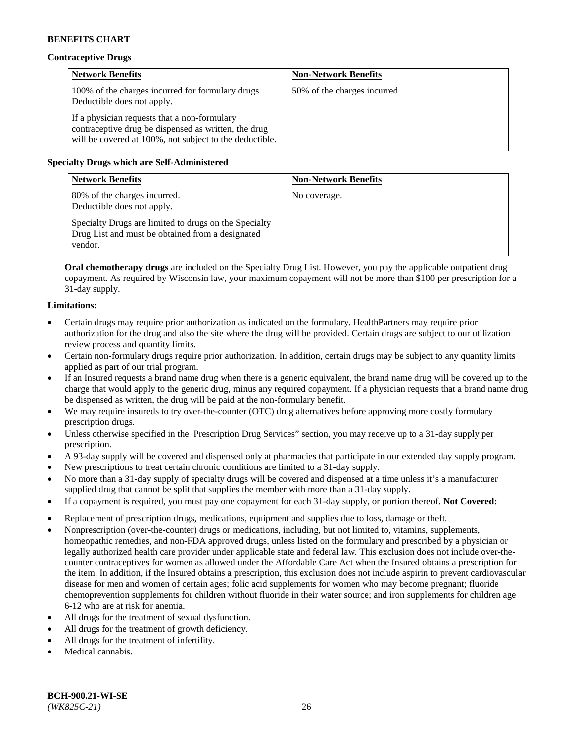## **Contraceptive Drugs**

| <b>Network Benefits</b>                                                                                                                                         | <b>Non-Network Benefits</b>  |
|-----------------------------------------------------------------------------------------------------------------------------------------------------------------|------------------------------|
| 100% of the charges incurred for formulary drugs.<br>Deductible does not apply.                                                                                 | 50% of the charges incurred. |
| If a physician requests that a non-formulary<br>contraceptive drug be dispensed as written, the drug<br>will be covered at 100%, not subject to the deductible. |                              |

## **Specialty Drugs which are Self-Administered**

| <b>Network Benefits</b>                                                                                              | <b>Non-Network Benefits</b> |
|----------------------------------------------------------------------------------------------------------------------|-----------------------------|
| 80% of the charges incurred.<br>Deductible does not apply.                                                           | No coverage.                |
| Specialty Drugs are limited to drugs on the Specialty<br>Drug List and must be obtained from a designated<br>vendor. |                             |

**Oral chemotherapy drugs** are included on the Specialty Drug List. However, you pay the applicable outpatient drug copayment. As required by Wisconsin law, your maximum copayment will not be more than \$100 per prescription for a 31-day supply.

## **Limitations:**

- Certain drugs may require prior authorization as indicated on the formulary. HealthPartners may require prior authorization for the drug and also the site where the drug will be provided. Certain drugs are subject to our utilization review process and quantity limits.
- Certain non-formulary drugs require prior authorization. In addition, certain drugs may be subject to any quantity limits applied as part of our trial program.
- If an Insured requests a brand name drug when there is a generic equivalent, the brand name drug will be covered up to the charge that would apply to the generic drug, minus any required copayment. If a physician requests that a brand name drug be dispensed as written, the drug will be paid at the non-formulary benefit.
- We may require insureds to try over-the-counter (OTC) drug alternatives before approving more costly formulary prescription drugs.
- Unless otherwise specified in the Prescription Drug Services" section, you may receive up to a 31-day supply per prescription.
- A 93-day supply will be covered and dispensed only at pharmacies that participate in our extended day supply program.
- New prescriptions to treat certain chronic conditions are limited to a 31-day supply.
- No more than a 31-day supply of specialty drugs will be covered and dispensed at a time unless it's a manufacturer supplied drug that cannot be split that supplies the member with more than a 31-day supply.
- If a copayment is required, you must pay one copayment for each 31-day supply, or portion thereof. **Not Covered:**
- Replacement of prescription drugs, medications, equipment and supplies due to loss, damage or theft.
- Nonprescription (over-the-counter) drugs or medications, including, but not limited to, vitamins, supplements, homeopathic remedies, and non-FDA approved drugs, unless listed on the formulary and prescribed by a physician or legally authorized health care provider under applicable state and federal law. This exclusion does not include over-thecounter contraceptives for women as allowed under the Affordable Care Act when the Insured obtains a prescription for the item. In addition, if the Insured obtains a prescription, this exclusion does not include aspirin to prevent cardiovascular disease for men and women of certain ages; folic acid supplements for women who may become pregnant; fluoride chemoprevention supplements for children without fluoride in their water source; and iron supplements for children age 6-12 who are at risk for anemia.
- All drugs for the treatment of sexual dysfunction.
- All drugs for the treatment of growth deficiency.
- All drugs for the treatment of infertility.
- Medical cannabis.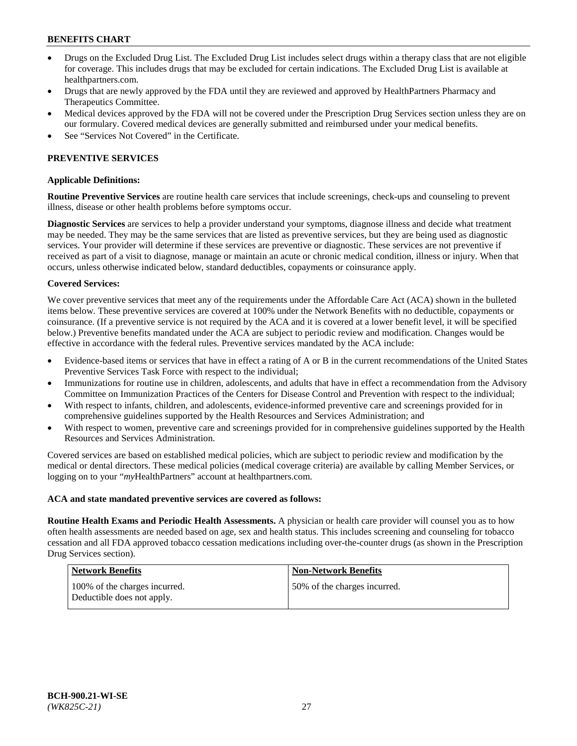- Drugs on the Excluded Drug List. The Excluded Drug List includes select drugs within a therapy class that are not eligible for coverage. This includes drugs that may be excluded for certain indications. The Excluded Drug List is available at [healthpartners.com.](http://www.healthpartners.com/)
- Drugs that are newly approved by the FDA until they are reviewed and approved by HealthPartners Pharmacy and Therapeutics Committee.
- Medical devices approved by the FDA will not be covered under the Prescription Drug Services section unless they are on our formulary. Covered medical devices are generally submitted and reimbursed under your medical benefits.
- See "Services Not Covered" in the Certificate.

## **PREVENTIVE SERVICES**

#### **Applicable Definitions:**

**Routine Preventive Services** are routine health care services that include screenings, check-ups and counseling to prevent illness, disease or other health problems before symptoms occur.

**Diagnostic Services** are services to help a provider understand your symptoms, diagnose illness and decide what treatment may be needed. They may be the same services that are listed as preventive services, but they are being used as diagnostic services. Your provider will determine if these services are preventive or diagnostic. These services are not preventive if received as part of a visit to diagnose, manage or maintain an acute or chronic medical condition, illness or injury. When that occurs, unless otherwise indicated below, standard deductibles, copayments or coinsurance apply.

#### **Covered Services:**

We cover preventive services that meet any of the requirements under the Affordable Care Act (ACA) shown in the bulleted items below. These preventive services are covered at 100% under the Network Benefits with no deductible, copayments or coinsurance. (If a preventive service is not required by the ACA and it is covered at a lower benefit level, it will be specified below.) Preventive benefits mandated under the ACA are subject to periodic review and modification. Changes would be effective in accordance with the federal rules. Preventive services mandated by the ACA include:

- Evidence-based items or services that have in effect a rating of A or B in the current recommendations of the United States Preventive Services Task Force with respect to the individual;
- Immunizations for routine use in children, adolescents, and adults that have in effect a recommendation from the Advisory Committee on Immunization Practices of the Centers for Disease Control and Prevention with respect to the individual;
- With respect to infants, children, and adolescents, evidence-informed preventive care and screenings provided for in comprehensive guidelines supported by the Health Resources and Services Administration; and
- With respect to women, preventive care and screenings provided for in comprehensive guidelines supported by the Health Resources and Services Administration.

Covered services are based on established medical policies, which are subject to periodic review and modification by the medical or dental directors. These medical policies (medical coverage criteria) are available by calling Member Services, or logging on to your "*my*HealthPartners" account at [healthpartners.com.](https://www.healthpartners.com/hp/index.html)

#### **ACA and state mandated preventive services are covered as follows:**

**Routine Health Exams and Periodic Health Assessments.** A physician or health care provider will counsel you as to how often health assessments are needed based on age, sex and health status. This includes screening and counseling for tobacco cessation and all FDA approved tobacco cessation medications including over-the-counter drugs (as shown in the Prescription Drug Services section).

| Network Benefits                                            | <b>Non-Network Benefits</b>  |
|-------------------------------------------------------------|------------------------------|
| 100% of the charges incurred.<br>Deductible does not apply. | 50% of the charges incurred. |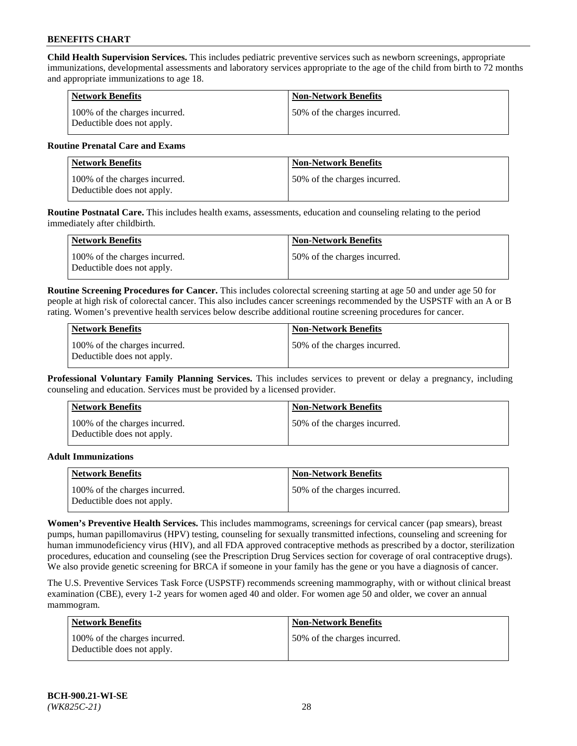**Child Health Supervision Services.** This includes pediatric preventive services such as newborn screenings, appropriate immunizations, developmental assessments and laboratory services appropriate to the age of the child from birth to 72 months and appropriate immunizations to age 18.

| <b>Network Benefits</b>                                     | <b>Non-Network Benefits</b>  |
|-------------------------------------------------------------|------------------------------|
| 100% of the charges incurred.<br>Deductible does not apply. | 50% of the charges incurred. |

### **Routine Prenatal Care and Exams**

| Network Benefits                                            | <b>Non-Network Benefits</b>  |
|-------------------------------------------------------------|------------------------------|
| 100% of the charges incurred.<br>Deductible does not apply. | 50% of the charges incurred. |

**Routine Postnatal Care.** This includes health exams, assessments, education and counseling relating to the period immediately after childbirth.

| Network Benefits                                            | <b>Non-Network Benefits</b>  |
|-------------------------------------------------------------|------------------------------|
| 100% of the charges incurred.<br>Deductible does not apply. | 50% of the charges incurred. |

**Routine Screening Procedures for Cancer.** This includes colorectal screening starting at age 50 and under age 50 for people at high risk of colorectal cancer. This also includes cancer screenings recommended by the USPSTF with an A or B rating. Women's preventive health services below describe additional routine screening procedures for cancer.

| <b>Network Benefits</b>                                     | <b>Non-Network Benefits</b>   |
|-------------------------------------------------------------|-------------------------------|
| 100% of the charges incurred.<br>Deductible does not apply. | 150% of the charges incurred. |

**Professional Voluntary Family Planning Services.** This includes services to prevent or delay a pregnancy, including counseling and education. Services must be provided by a licensed provider.

| <b>Network Benefits</b>                                     | <b>Non-Network Benefits</b>  |
|-------------------------------------------------------------|------------------------------|
| 100% of the charges incurred.<br>Deductible does not apply. | 50% of the charges incurred. |

#### **Adult Immunizations**

| Network Benefits                                            | <b>Non-Network Benefits</b>   |
|-------------------------------------------------------------|-------------------------------|
| 100% of the charges incurred.<br>Deductible does not apply. | 150% of the charges incurred. |

**Women's Preventive Health Services.** This includes mammograms, screenings for cervical cancer (pap smears), breast pumps, human papillomavirus (HPV) testing, counseling for sexually transmitted infections, counseling and screening for human immunodeficiency virus (HIV), and all FDA approved contraceptive methods as prescribed by a doctor, sterilization procedures, education and counseling (see the Prescription Drug Services section for coverage of oral contraceptive drugs). We also provide genetic screening for BRCA if someone in your family has the gene or you have a diagnosis of cancer.

The U.S. Preventive Services Task Force (USPSTF) recommends screening mammography, with or without clinical breast examination (CBE), every 1-2 years for women aged 40 and older. For women age 50 and older, we cover an annual mammogram.

| <b>Network Benefits</b>                                     | Non-Network Benefits         |
|-------------------------------------------------------------|------------------------------|
| 100% of the charges incurred.<br>Deductible does not apply. | 50% of the charges incurred. |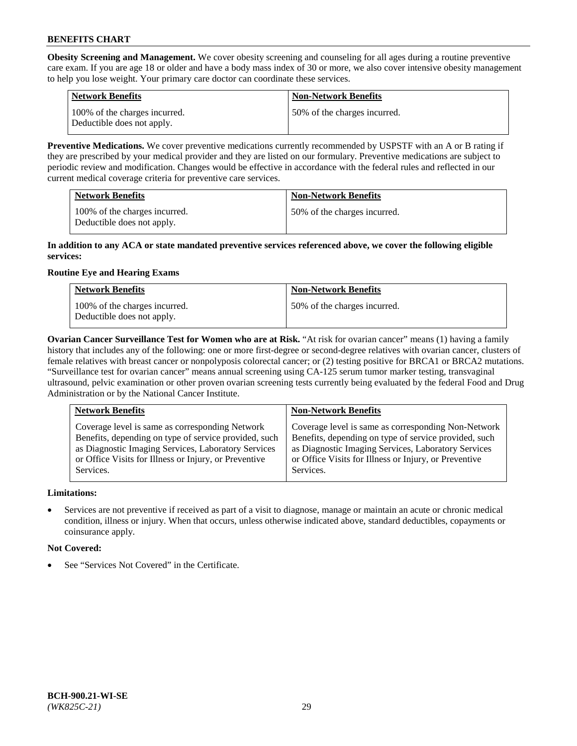**Obesity Screening and Management.** We cover obesity screening and counseling for all ages during a routine preventive care exam. If you are age 18 or older and have a body mass index of 30 or more, we also cover intensive obesity management to help you lose weight. Your primary care doctor can coordinate these services.

| <b>Network Benefits</b>                                     | <b>Non-Network Benefits</b>  |
|-------------------------------------------------------------|------------------------------|
| 100% of the charges incurred.<br>Deductible does not apply. | 50% of the charges incurred. |

**Preventive Medications.** We cover preventive medications currently recommended by USPSTF with an A or B rating if they are prescribed by your medical provider and they are listed on our formulary. Preventive medications are subject to periodic review and modification. Changes would be effective in accordance with the federal rules and reflected in our current medical coverage criteria for preventive care services.

| <b>Network Benefits</b>                                     | <b>Non-Network Benefits</b>  |
|-------------------------------------------------------------|------------------------------|
| 100% of the charges incurred.<br>Deductible does not apply. | 50% of the charges incurred. |

### **In addition to any ACA or state mandated preventive services referenced above, we cover the following eligible services:**

## **Routine Eye and Hearing Exams**

| <b>Network Benefits</b>                                     | <b>Non-Network Benefits</b>  |
|-------------------------------------------------------------|------------------------------|
| 100% of the charges incurred.<br>Deductible does not apply. | 50% of the charges incurred. |

**Ovarian Cancer Surveillance Test for Women who are at Risk.** "At risk for ovarian cancer" means (1) having a family history that includes any of the following: one or more first-degree or second-degree relatives with ovarian cancer, clusters of female relatives with breast cancer or nonpolyposis colorectal cancer; or (2) testing positive for BRCA1 or BRCA2 mutations. "Surveillance test for ovarian cancer" means annual screening using CA-125 serum tumor marker testing, transvaginal ultrasound, pelvic examination or other proven ovarian screening tests currently being evaluated by the federal Food and Drug Administration or by the National Cancer Institute.

| <b>Network Benefits</b>                               | <b>Non-Network Benefits</b>                           |
|-------------------------------------------------------|-------------------------------------------------------|
| Coverage level is same as corresponding Network       | Coverage level is same as corresponding Non-Network   |
| Benefits, depending on type of service provided, such | Benefits, depending on type of service provided, such |
| as Diagnostic Imaging Services, Laboratory Services   | as Diagnostic Imaging Services, Laboratory Services   |
| or Office Visits for Illness or Injury, or Preventive | or Office Visits for Illness or Injury, or Preventive |
| Services.                                             | Services.                                             |

## **Limitations:**

• Services are not preventive if received as part of a visit to diagnose, manage or maintain an acute or chronic medical condition, illness or injury. When that occurs, unless otherwise indicated above, standard deductibles, copayments or coinsurance apply.

## **Not Covered:**

See "Services Not Covered" in the Certificate.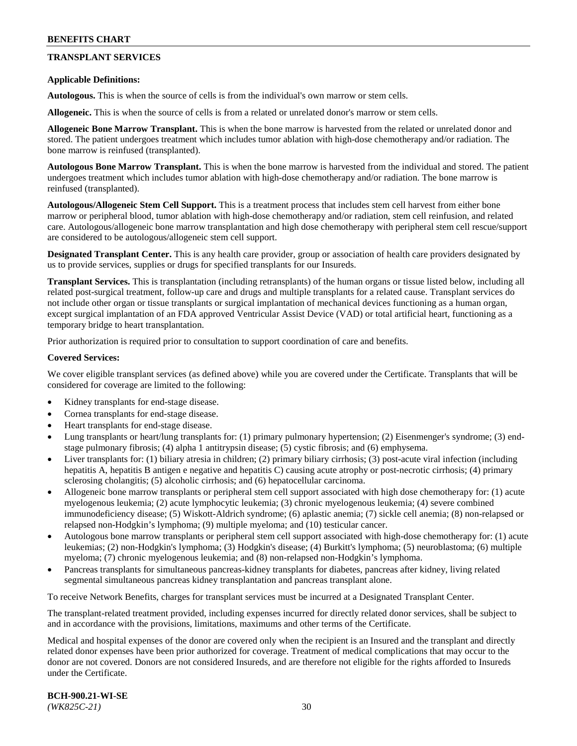## **TRANSPLANT SERVICES**

#### **Applicable Definitions:**

**Autologous.** This is when the source of cells is from the individual's own marrow or stem cells.

**Allogeneic.** This is when the source of cells is from a related or unrelated donor's marrow or stem cells.

**Allogeneic Bone Marrow Transplant.** This is when the bone marrow is harvested from the related or unrelated donor and stored. The patient undergoes treatment which includes tumor ablation with high-dose chemotherapy and/or radiation. The bone marrow is reinfused (transplanted).

**Autologous Bone Marrow Transplant.** This is when the bone marrow is harvested from the individual and stored. The patient undergoes treatment which includes tumor ablation with high-dose chemotherapy and/or radiation. The bone marrow is reinfused (transplanted).

**Autologous/Allogeneic Stem Cell Support.** This is a treatment process that includes stem cell harvest from either bone marrow or peripheral blood, tumor ablation with high-dose chemotherapy and/or radiation, stem cell reinfusion, and related care. Autologous/allogeneic bone marrow transplantation and high dose chemotherapy with peripheral stem cell rescue/support are considered to be autologous/allogeneic stem cell support.

**Designated Transplant Center.** This is any health care provider, group or association of health care providers designated by us to provide services, supplies or drugs for specified transplants for our Insureds.

**Transplant Services.** This is transplantation (including retransplants) of the human organs or tissue listed below, including all related post-surgical treatment, follow-up care and drugs and multiple transplants for a related cause. Transplant services do not include other organ or tissue transplants or surgical implantation of mechanical devices functioning as a human organ, except surgical implantation of an FDA approved Ventricular Assist Device (VAD) or total artificial heart, functioning as a temporary bridge to heart transplantation.

Prior authorization is required prior to consultation to support coordination of care and benefits.

#### **Covered Services:**

We cover eligible transplant services (as defined above) while you are covered under the Certificate. Transplants that will be considered for coverage are limited to the following:

- Kidney transplants for end-stage disease.
- Cornea transplants for end-stage disease.
- Heart transplants for end-stage disease.
- Lung transplants or heart/lung transplants for: (1) primary pulmonary hypertension; (2) Eisenmenger's syndrome; (3) endstage pulmonary fibrosis; (4) alpha 1 antitrypsin disease; (5) cystic fibrosis; and (6) emphysema.
- Liver transplants for: (1) biliary atresia in children; (2) primary biliary cirrhosis; (3) post-acute viral infection (including hepatitis A, hepatitis B antigen e negative and hepatitis C) causing acute atrophy or post-necrotic cirrhosis; (4) primary sclerosing cholangitis; (5) alcoholic cirrhosis; and (6) hepatocellular carcinoma.
- Allogeneic bone marrow transplants or peripheral stem cell support associated with high dose chemotherapy for: (1) acute myelogenous leukemia; (2) acute lymphocytic leukemia; (3) chronic myelogenous leukemia; (4) severe combined immunodeficiency disease; (5) Wiskott-Aldrich syndrome; (6) aplastic anemia; (7) sickle cell anemia; (8) non-relapsed or relapsed non-Hodgkin's lymphoma; (9) multiple myeloma; and (10) testicular cancer.
- Autologous bone marrow transplants or peripheral stem cell support associated with high-dose chemotherapy for: (1) acute leukemias; (2) non-Hodgkin's lymphoma; (3) Hodgkin's disease; (4) Burkitt's lymphoma; (5) neuroblastoma; (6) multiple myeloma; (7) chronic myelogenous leukemia; and (8) non-relapsed non-Hodgkin's lymphoma.
- Pancreas transplants for simultaneous pancreas-kidney transplants for diabetes, pancreas after kidney, living related segmental simultaneous pancreas kidney transplantation and pancreas transplant alone.

To receive Network Benefits, charges for transplant services must be incurred at a Designated Transplant Center.

The transplant-related treatment provided, including expenses incurred for directly related donor services, shall be subject to and in accordance with the provisions, limitations, maximums and other terms of the Certificate.

Medical and hospital expenses of the donor are covered only when the recipient is an Insured and the transplant and directly related donor expenses have been prior authorized for coverage. Treatment of medical complications that may occur to the donor are not covered. Donors are not considered Insureds, and are therefore not eligible for the rights afforded to Insureds under the Certificate.